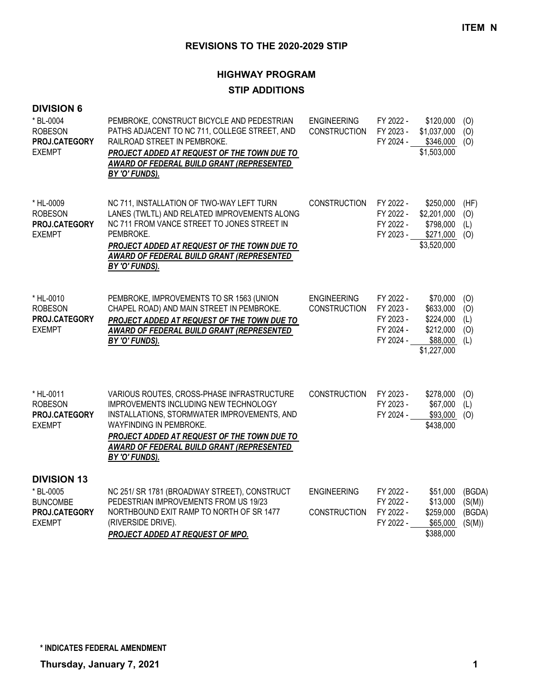# **HIGHWAY PROGRAM**

## **STIP ADDITIONS**

| <b>DIVISION 6</b><br>* BL-0004<br><b>ROBESON</b><br>PROJ.CATEGORY<br><b>EXEMPT</b>   | PEMBROKE, CONSTRUCT BICYCLE AND PEDESTRIAN<br>PATHS ADJACENT TO NC 711, COLLEGE STREET, AND<br>RAILROAD STREET IN PEMBROKE.<br>PROJECT ADDED AT REQUEST OF THE TOWN DUE TO<br>AWARD OF FEDERAL BUILD GRANT (REPRESENTED<br>BY 'O' FUNDS).                                         | <b>ENGINEERING</b><br><b>CONSTRUCTION</b> | FY 2022 -<br>FY 2023 -<br>FY 2024 -                           | \$120,000<br>\$1,037,000<br>\$346,000<br>\$1,503,000                       | (O)<br>(O)<br>(O)                    |
|--------------------------------------------------------------------------------------|-----------------------------------------------------------------------------------------------------------------------------------------------------------------------------------------------------------------------------------------------------------------------------------|-------------------------------------------|---------------------------------------------------------------|----------------------------------------------------------------------------|--------------------------------------|
| * HL-0009<br><b>ROBESON</b><br>PROJ.CATEGORY<br><b>EXEMPT</b>                        | NC 711, INSTALLATION OF TWO-WAY LEFT TURN<br>LANES (TWLTL) AND RELATED IMPROVEMENTS ALONG<br>NC 711 FROM VANCE STREET TO JONES STREET IN<br>PEMBROKE.<br><b>PROJECT ADDED AT REQUEST OF THE TOWN DUE TO</b><br><b>AWARD OF FEDERAL BUILD GRANT (REPRESENTED</b><br>BY 'O' FUNDS). | <b>CONSTRUCTION</b>                       | FY 2022 -<br>FY 2022 -<br>FY 2022 -<br>FY 2023 -              | \$250,000<br>\$2,201,000<br>\$798,000<br>\$271,000<br>\$3,520,000          | (HF)<br>(O)<br>(1)<br>(0)            |
| * HL-0010<br><b>ROBESON</b><br>PROJ.CATEGORY<br><b>EXEMPT</b>                        | PEMBROKE, IMPROVEMENTS TO SR 1563 (UNION<br>CHAPEL ROAD) AND MAIN STREET IN PEMBROKE.<br>PROJECT ADDED AT REQUEST OF THE TOWN DUE TO<br>AWARD OF FEDERAL BUILD GRANT (REPRESENTED<br>BY 'O' FUNDS).                                                                               | <b>ENGINEERING</b><br><b>CONSTRUCTION</b> | FY 2022 -<br>FY 2023 -<br>FY 2023 -<br>FY 2024 -<br>FY 2024 - | \$70,000<br>\$633,000<br>\$224,000<br>\$212,000<br>\$88,000<br>\$1,227,000 | (O)<br>(O)<br>(1)<br>(O)<br>(L)      |
| * HL-0011<br><b>ROBESON</b><br>PROJ.CATEGORY<br><b>EXEMPT</b>                        | VARIOUS ROUTES, CROSS-PHASE INFRASTRUCTURE<br>IMPROVEMENTS INCLUDING NEW TECHNOLOGY<br>INSTALLATIONS, STORMWATER IMPROVEMENTS, AND<br>WAYFINDING IN PEMBROKE.<br>PROJECT ADDED AT REQUEST OF THE TOWN DUE TO<br>AWARD OF FEDERAL BUILD GRANT (REPRESENTED<br>BY 'O' FUNDS).       | <b>CONSTRUCTION</b>                       | FY 2023 -<br>FY 2023 -<br>FY 2024 -                           | \$278,000<br>\$67,000<br>\$93,000<br>\$438,000                             | (O)<br>(L)<br>(O)                    |
| <b>DIVISION 13</b><br>* BL-0005<br><b>BUNCOMBE</b><br>PROJ.CATEGORY<br><b>EXEMPT</b> | NC 251/ SR 1781 (BROADWAY STREET), CONSTRUCT<br>PEDESTRIAN IMPROVEMENTS FROM US 19/23<br>NORTHBOUND EXIT RAMP TO NORTH OF SR 1477<br>(RIVERSIDE DRIVE).<br>PROJECT ADDED AT REQUEST OF MPO.                                                                                       | <b>ENGINEERING</b><br><b>CONSTRUCTION</b> | FY 2022 -<br>FY 2022 -<br>FY 2022 -<br>FY 2022 -              | \$51,000<br>\$13,000<br>\$259,000<br>\$65,000<br>\$388,000                 | (BGDA)<br>(S(M))<br>(BGDA)<br>(S(M)) |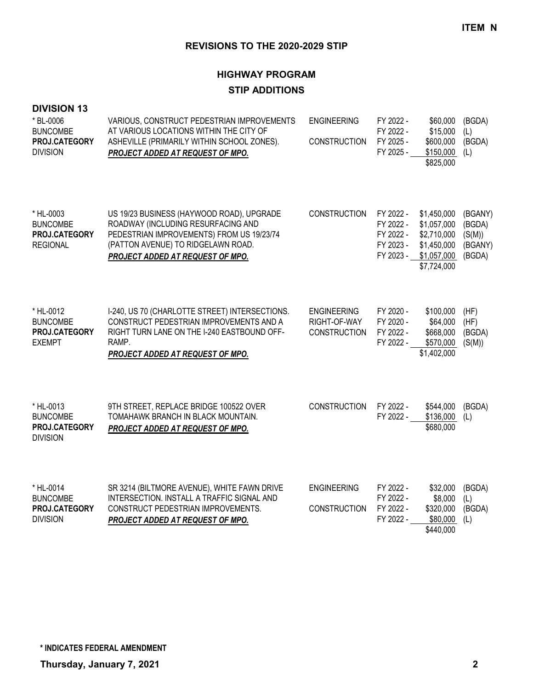# **HIGHWAY PROGRAM STIP ADDITIONS**

#### **DIVISION 13**

| * BL-0006<br><b>BUNCOMBE</b><br>PROJ.CATEGORY<br><b>DIVISION</b> | VARIOUS, CONSTRUCT PEDESTRIAN IMPROVEMENTS<br>AT VARIOUS LOCATIONS WITHIN THE CITY OF<br>ASHEVILLE (PRIMARILY WITHIN SCHOOL ZONES).<br>PROJECT ADDED AT REQUEST OF MPO.                                | <b>ENGINEERING</b><br><b>CONSTRUCTION</b>                 | FY 2022 -<br>FY 2022 -<br>FY 2025 -<br>FY 2025 -              | \$60,000<br>\$15,000<br>\$600,000<br>\$150,000<br>\$825,000                            | (BGDA)<br>(L)<br>(BGDA)<br>(L)                   |
|------------------------------------------------------------------|--------------------------------------------------------------------------------------------------------------------------------------------------------------------------------------------------------|-----------------------------------------------------------|---------------------------------------------------------------|----------------------------------------------------------------------------------------|--------------------------------------------------|
| * HL-0003<br><b>BUNCOMBE</b><br>PROJ.CATEGORY<br><b>REGIONAL</b> | US 19/23 BUSINESS (HAYWOOD ROAD), UPGRADE<br>ROADWAY (INCLUDING RESURFACING AND<br>PEDESTRIAN IMPROVEMENTS) FROM US 19/23/74<br>(PATTON AVENUE) TO RIDGELAWN ROAD.<br>PROJECT ADDED AT REQUEST OF MPO. | <b>CONSTRUCTION</b>                                       | FY 2022 -<br>FY 2022 -<br>FY 2022 -<br>FY 2023 -<br>FY 2023 - | \$1,450,000<br>\$1,057,000<br>\$2,710,000<br>\$1,450,000<br>\$1,057,000<br>\$7,724,000 | (BGANY)<br>(BGDA)<br>(S(M))<br>(BGANY)<br>(BGDA) |
| * HL-0012<br><b>BUNCOMBE</b><br>PROJ.CATEGORY<br><b>EXEMPT</b>   | I-240, US 70 (CHARLOTTE STREET) INTERSECTIONS.<br>CONSTRUCT PEDESTRIAN IMPROVEMENTS AND A<br>RIGHT TURN LANE ON THE I-240 EASTBOUND OFF-<br>RAMP.<br>PROJECT ADDED AT REQUEST OF MPO.                  | <b>ENGINEERING</b><br>RIGHT-OF-WAY<br><b>CONSTRUCTION</b> | FY 2020 -<br>FY 2020 -<br>FY 2022 -<br>FY 2022 -              | \$100,000<br>\$64,000<br>\$668,000<br>\$570,000<br>\$1,402,000                         | (HF)<br>(HF)<br>(BGDA)<br>(S(M))                 |
| * HL-0013<br><b>BUNCOMBE</b><br>PROJ.CATEGORY<br><b>DIVISION</b> | 9TH STREET, REPLACE BRIDGE 100522 OVER<br>TOMAHAWK BRANCH IN BLACK MOUNTAIN.<br>PROJECT ADDED AT REQUEST OF MPO.                                                                                       | <b>CONSTRUCTION</b>                                       | FY 2022 -<br>FY 2022 -                                        | \$544,000<br>\$136,000<br>\$680,000                                                    | (BGDA)<br>(L)                                    |
| * HL-0014<br><b>BUNCOMBE</b><br>PROJ.CATEGORY<br><b>DIVISION</b> | SR 3214 (BILTMORE AVENUE), WHITE FAWN DRIVE<br>INTERSECTION. INSTALL A TRAFFIC SIGNAL AND<br>CONSTRUCT PEDESTRIAN IMPROVEMENTS.<br>PROJECT ADDED AT REQUEST OF MPO.                                    | <b>ENGINEERING</b><br><b>CONSTRUCTION</b>                 | FY 2022 -<br>FY 2022 -<br>FY 2022 -<br>FY 2022 -              | \$32,000<br>\$8,000<br>\$320,000<br>\$80,000<br>\$440,000                              | (BGDA)<br>(L)<br>(BGDA)<br>(L)                   |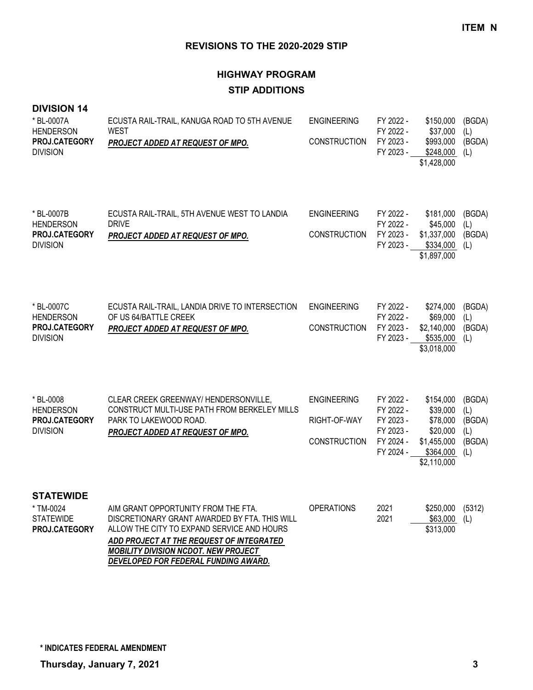# **HIGHWAY PROGRAM STIP ADDITIONS**

#### **DIVISION 14**

| * BL-0007A<br><b>HENDERSON</b><br>PROJ.CATEGORY<br><b>DIVISION</b> | ECUSTA RAIL-TRAIL, KANUGA ROAD TO 5TH AVENUE<br><b>WEST</b><br>PROJECT ADDED AT REQUEST OF MPO.                                                                                                                                                                       | <b>ENGINEERING</b><br><b>CONSTRUCTION</b>                 | FY 2022 -<br>FY 2022 -<br>FY 2023 -<br>FY 2023 -                           | \$150,000<br>\$37,000<br>\$993,000<br>\$248,000<br>\$1,428,000                           | (BGDA)<br>(L)<br>(BGDA)<br>(L)                  |
|--------------------------------------------------------------------|-----------------------------------------------------------------------------------------------------------------------------------------------------------------------------------------------------------------------------------------------------------------------|-----------------------------------------------------------|----------------------------------------------------------------------------|------------------------------------------------------------------------------------------|-------------------------------------------------|
| * BL-0007B<br><b>HENDERSON</b><br>PROJ.CATEGORY<br><b>DIVISION</b> | ECUSTA RAIL-TRAIL, 5TH AVENUE WEST TO LANDIA<br><b>DRIVE</b><br>PROJECT ADDED AT REQUEST OF MPO.                                                                                                                                                                      | <b>ENGINEERING</b><br><b>CONSTRUCTION</b>                 | FY 2022 -<br>FY 2022 -<br>FY 2023 -<br>FY 2023 -                           | \$181,000<br>\$45,000<br>\$1,337,000<br>$$334,000$ (L)<br>\$1,897,000                    | (BGDA)<br>(L)<br>(BGDA)                         |
| * BL-0007C<br><b>HENDERSON</b><br>PROJ.CATEGORY<br><b>DIVISION</b> | ECUSTA RAIL-TRAIL, LANDIA DRIVE TO INTERSECTION<br>OF US 64/BATTLE CREEK<br>PROJECT ADDED AT REQUEST OF MPO.                                                                                                                                                          | <b>ENGINEERING</b><br><b>CONSTRUCTION</b>                 | FY 2022 -<br>FY 2022 -<br>FY 2023 -<br>FY 2023 -                           | \$274,000<br>\$69,000<br>\$2,140,000<br>\$535,000<br>\$3,018,000                         | (BGDA)<br>(L)<br>(BGDA)<br>(L)                  |
| * BL-0008<br><b>HENDERSON</b><br>PROJ.CATEGORY<br><b>DIVISION</b>  | CLEAR CREEK GREENWAY/ HENDERSONVILLE,<br>CONSTRUCT MULTI-USE PATH FROM BERKELEY MILLS<br>PARK TO LAKEWOOD ROAD.<br>PROJECT ADDED AT REQUEST OF MPO.                                                                                                                   | <b>ENGINEERING</b><br>RIGHT-OF-WAY<br><b>CONSTRUCTION</b> | FY 2022 -<br>FY 2022 -<br>FY 2023 -<br>FY 2023 -<br>FY 2024 -<br>FY 2024 - | \$154,000<br>\$39,000<br>\$78,000<br>\$20,000<br>\$1,455,000<br>\$364,000<br>\$2,110,000 | (BGDA)<br>(L)<br>(BGDA)<br>(L)<br>(BGDA)<br>(L) |
| <b>STATEWIDE</b><br>* TM-0024<br><b>STATEWIDE</b><br>PROJ.CATEGORY | AIM GRANT OPPORTUNITY FROM THE FTA.<br>DISCRETIONARY GRANT AWARDED BY FTA. THIS WILL<br>ALLOW THE CITY TO EXPAND SERVICE AND HOURS<br>ADD PROJECT AT THE REQUEST OF INTEGRATED<br><b>MOBILITY DIVISION NCDOT. NEW PROJECT</b><br>DEVELOPED FOR FEDERAL FUNDING AWARD. | <b>OPERATIONS</b>                                         | 2021<br>2021                                                               | \$250,000<br>\$63,000<br>\$313,000                                                       | (5312)<br>(L)                                   |

**\* INDICATES FEDERAL AMENDMENT**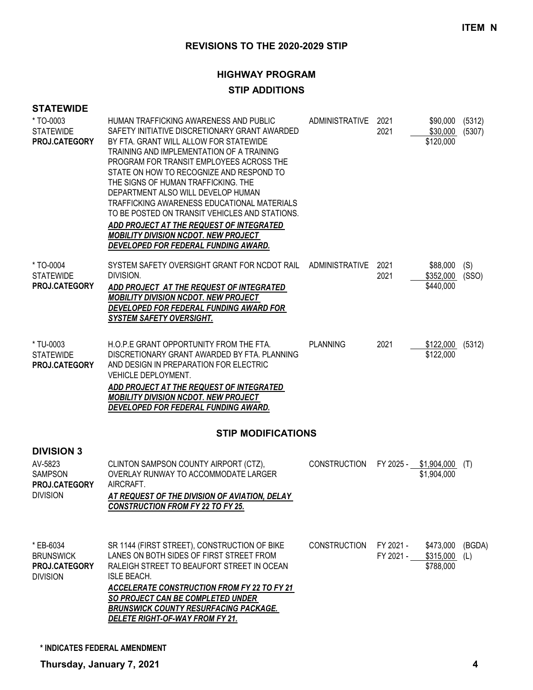#### **HIGHWAY PROGRAM**

#### **STIP ADDITIONS**

| <b>STATEWIDE</b>                                                                   |                                                                                                                                                                                                                                                                                                                                                                                                                                                                                                                                                                                         |                     |                        |                                      |                  |
|------------------------------------------------------------------------------------|-----------------------------------------------------------------------------------------------------------------------------------------------------------------------------------------------------------------------------------------------------------------------------------------------------------------------------------------------------------------------------------------------------------------------------------------------------------------------------------------------------------------------------------------------------------------------------------------|---------------------|------------------------|--------------------------------------|------------------|
| * TO-0003<br><b>STATEWIDE</b><br>PROJ.CATEGORY                                     | HUMAN TRAFFICKING AWARENESS AND PUBLIC<br>SAFETY INITIATIVE DISCRETIONARY GRANT AWARDED<br>BY FTA. GRANT WILL ALLOW FOR STATEWIDE<br>TRAINING AND IMPLEMENTATION OF A TRAINING<br>PROGRAM FOR TRANSIT EMPLOYEES ACROSS THE<br>STATE ON HOW TO RECOGNIZE AND RESPOND TO<br>THE SIGNS OF HUMAN TRAFFICKING. THE<br>DEPARTMENT ALSO WILL DEVELOP HUMAN<br>TRAFFICKING AWARENESS EDUCATIONAL MATERIALS<br>TO BE POSTED ON TRANSIT VEHICLES AND STATIONS.<br>ADD PROJECT AT THE REQUEST OF INTEGRATED<br><b>MOBILITY DIVISION NCDOT. NEW PROJECT</b><br>DEVELOPED FOR FEDERAL FUNDING AWARD. | ADMINISTRATIVE 2021 | 2021                   | \$90,000<br>\$30,000<br>\$120,000    | (5312)<br>(5307) |
| * TO-0004<br><b>STATEWIDE</b><br>PROJ.CATEGORY                                     | SYSTEM SAFETY OVERSIGHT GRANT FOR NCDOT RAIL ADMINISTRATIVE<br>DIVISION.<br>ADD PROJECT AT THE REQUEST OF INTEGRATED<br><b>MOBILITY DIVISION NCDOT. NEW PROJECT</b><br>DEVELOPED FOR FEDERAL FUNDING AWARD FOR<br><b>SYSTEM SAFETY OVERSIGHT.</b>                                                                                                                                                                                                                                                                                                                                       |                     | 2021<br>2021           | \$88,000<br>\$352,000<br>\$440,000   | (S)<br>(SSO)     |
| * TU-0003<br><b>STATEWIDE</b><br>PROJ.CATEGORY                                     | H.O.P.E GRANT OPPORTUNITY FROM THE FTA.<br>DISCRETIONARY GRANT AWARDED BY FTA. PLANNING<br>AND DESIGN IN PREPARATION FOR ELECTRIC<br>VEHICLE DEPLOYMENT.<br>ADD PROJECT AT THE REQUEST OF INTEGRATED<br><b>MOBILITY DIVISION NCDOT. NEW PROJECT</b><br>DEVELOPED FOR FEDERAL FUNDING AWARD.                                                                                                                                                                                                                                                                                             | <b>PLANNING</b>     | 2021                   | \$122,000 (5312)<br>\$122,000        |                  |
|                                                                                    | <b>STIP MODIFICATIONS</b>                                                                                                                                                                                                                                                                                                                                                                                                                                                                                                                                                               |                     |                        |                                      |                  |
| <b>DIVISION 3</b><br>AV-5823<br><b>SAMPSON</b><br>PROJ.CATEGORY<br><b>DIVISION</b> | CLINTON SAMPSON COUNTY AIRPORT (CTZ),<br>OVERLAY RUNWAY TO ACCOMMODATE LARGER<br>AIRCRAFT.<br><b>AT REQUEST OF THE DIVISION OF AVIATION, DELAY</b><br><b>CONSTRUCTION FROM FY 22 TO FY 25.</b>                                                                                                                                                                                                                                                                                                                                                                                          | <b>CONSTRUCTION</b> |                        | FY 2025 - \$1,904,000<br>\$1,904,000 | (T)              |
| * EB-6034<br><b>BRUNSWICK</b><br>PROJ.CATEGORY<br><b>DIVISION</b>                  | SR 1144 (FIRST STREET), CONSTRUCTION OF BIKE<br>LANES ON BOTH SIDES OF FIRST STREET FROM<br>RALEIGH STREET TO BEAUFORT STREET IN OCEAN<br><b>ISLE BEACH.</b><br><b>ACCELERATE CONSTRUCTION FROM FY 22 TO FY 21</b><br>SO PROJECT CAN BE COMPLETED UNDER<br><b>BRUNSWICK COUNTY RESURFACING PACKAGE.</b><br>DELETE RIGHT-OF-WAY FROM FY 21.                                                                                                                                                                                                                                              | <b>CONSTRUCTION</b> | FY 2021 -<br>FY 2021 - | \$473,000<br>\$315,000<br>\$788,000  | (BGDA)<br>(L)    |

**\* INDICATES FEDERAL AMENDMENT**

**Thursday, January 7, 2021 4**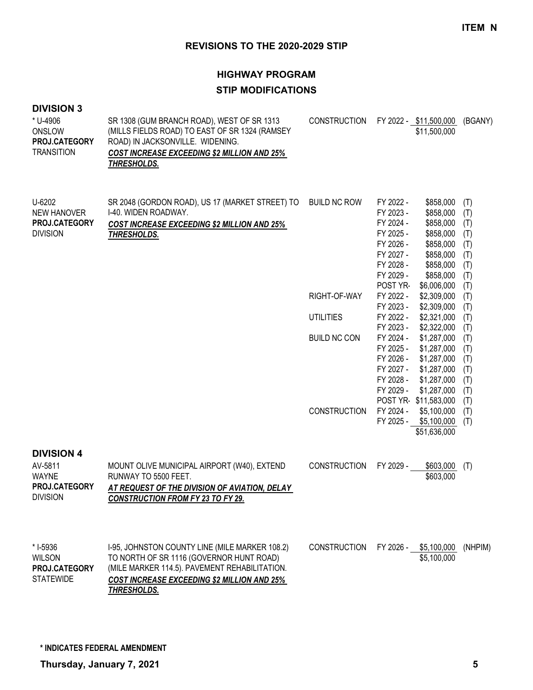# **HIGHWAY PROGRAM STIP MODIFICATIONS**

#### **DIVISION 3**

| * U-4906<br>ONSLOW<br>PROJ.CATEGORY<br><b>TRANSITION</b>                         | SR 1308 (GUM BRANCH ROAD), WEST OF SR 1313<br>(MILLS FIELDS ROAD) TO EAST OF SR 1324 (RAMSEY<br>ROAD) IN JACKSONVILLE. WIDENING.<br><b>COST INCREASE EXCEEDING \$2 MILLION AND 25%</b><br>THRESHOLDS.            | <b>CONSTRUCTION</b>              |                                                                                                                  | FY 2022 - \$11,500,000<br>\$11,500,000                                                                                        | (BGANY)                                                     |
|----------------------------------------------------------------------------------|------------------------------------------------------------------------------------------------------------------------------------------------------------------------------------------------------------------|----------------------------------|------------------------------------------------------------------------------------------------------------------|-------------------------------------------------------------------------------------------------------------------------------|-------------------------------------------------------------|
| U-6202<br><b>NEW HANOVER</b><br>PROJ.CATEGORY<br><b>DIVISION</b>                 | SR 2048 (GORDON ROAD), US 17 (MARKET STREET) TO<br>I-40. WIDEN ROADWAY.<br><b>COST INCREASE EXCEEDING \$2 MILLION AND 25%</b><br>THRESHOLDS.                                                                     | <b>BUILD NC ROW</b>              | FY 2022 -<br>FY 2023 -<br>FY 2024 -<br>FY 2025 -<br>FY 2026 -<br>FY 2027 -<br>FY 2028 -<br>FY 2029 -<br>POST YR- | \$858,000<br>\$858,000<br>\$858,000<br>\$858,000<br>\$858,000<br>\$858,000<br>\$858,000<br>\$858,000<br>\$6,006,000           | (T)<br>(T)<br>(T)<br>(T)<br>(T)<br>(T)<br>(T)<br>(T)<br>(T) |
|                                                                                  |                                                                                                                                                                                                                  | RIGHT-OF-WAY<br><b>UTILITIES</b> | FY 2022 -<br>FY 2023 -<br>FY 2022 -                                                                              | \$2,309,000<br>\$2,309,000<br>\$2,321,000                                                                                     | (T)<br>(T)<br>(T)                                           |
|                                                                                  |                                                                                                                                                                                                                  | <b>BUILD NC CON</b>              | FY 2023 -<br>FY 2024 -<br>FY 2025 -<br>FY 2026 -<br>FY 2027 -<br>FY 2028 -<br>FY 2029 -                          | \$2,322,000<br>\$1,287,000<br>\$1,287,000<br>\$1,287,000<br>\$1,287,000<br>\$1,287,000<br>\$1,287,000<br>POST YR-\$11,583,000 | (T)<br>(T)<br>(T)<br>(T)<br>(T)<br>(T)<br>(T)<br>(T)        |
|                                                                                  |                                                                                                                                                                                                                  | <b>CONSTRUCTION</b>              | FY 2024 -                                                                                                        | \$5,100,000<br>FY 2025 - \$5,100,000<br>\$51,636,000                                                                          | (T)<br>(T)                                                  |
| <b>DIVISION 4</b><br>AV-5811<br><b>WAYNE</b><br>PROJ.CATEGORY<br><b>DIVISION</b> | MOUNT OLIVE MUNICIPAL AIRPORT (W40), EXTEND<br>RUNWAY TO 5500 FEET.<br><b>AT REQUEST OF THE DIVISION OF AVIATION, DELAY</b><br><b>CONSTRUCTION FROM FY 23 TO FY 29.</b>                                          | <b>CONSTRUCTION</b>              | FY 2029 -                                                                                                        | \$603,000<br>\$603,000                                                                                                        | (T)                                                         |
| * I-5936<br><b>WILSON</b><br>PROJ.CATEGORY<br><b>STATEWIDE</b>                   | I-95, JOHNSTON COUNTY LINE (MILE MARKER 108.2)<br>TO NORTH OF SR 1116 (GOVERNOR HUNT ROAD)<br>(MILE MARKER 114.5). PAVEMENT REHABILITATION.<br><b>COST INCREASE EXCEEDING \$2 MILLION AND 25%</b><br>THRESHOLDS. | <b>CONSTRUCTION</b>              | FY 2026 -                                                                                                        | \$5,100,000<br>\$5,100,000                                                                                                    | (NHPIM)                                                     |

**\* INDICATES FEDERAL AMENDMENT**

**Thursday, January 7, 2021 5**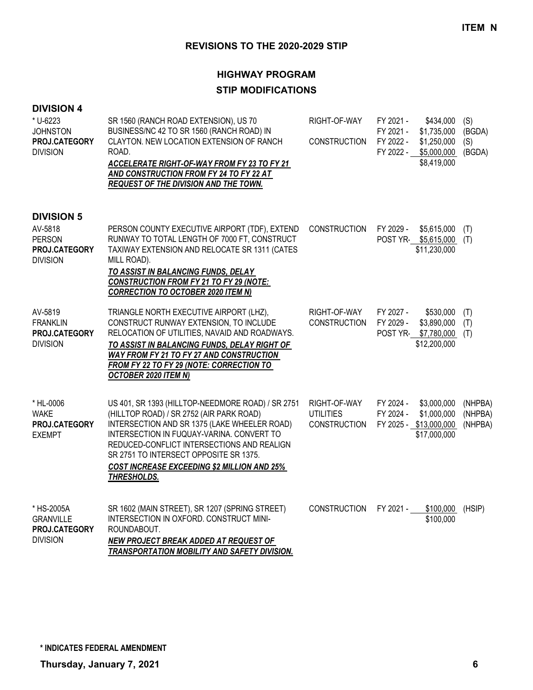# **HIGHWAY PROGRAM STIP MODIFICATIONS**

| <b>DIVISION 4</b>                                                  |                                                                                                                                                                                                                                                                                                                                                         |                                                         |                                                                                                                           |                                |
|--------------------------------------------------------------------|---------------------------------------------------------------------------------------------------------------------------------------------------------------------------------------------------------------------------------------------------------------------------------------------------------------------------------------------------------|---------------------------------------------------------|---------------------------------------------------------------------------------------------------------------------------|--------------------------------|
| * U-6223<br><b>JOHNSTON</b><br>PROJ.CATEGORY<br><b>DIVISION</b>    | SR 1560 (RANCH ROAD EXTENSION), US 70<br>BUSINESS/NC 42 TO SR 1560 (RANCH ROAD) IN<br>CLAYTON. NEW LOCATION EXTENSION OF RANCH<br>ROAD.<br>ACCELERATE RIGHT-OF-WAY FROM FY 23 TO FY 21<br>AND CONSTRUCTION FROM FY 24 TO FY 22 AT<br>REQUEST OF THE DIVISION AND THE TOWN.                                                                              | RIGHT-OF-WAY<br><b>CONSTRUCTION</b>                     | FY 2021 -<br>\$434,000<br>FY 2021 -<br>\$1,735,000<br>FY 2022 -<br>\$1,250,000<br>FY 2022 -<br>\$5,000,000<br>\$8,419,000 | (S)<br>(BGDA)<br>(S)<br>(BGDA) |
| <b>DIVISION 5</b>                                                  |                                                                                                                                                                                                                                                                                                                                                         |                                                         |                                                                                                                           |                                |
| AV-5818<br><b>PERSON</b><br>PROJ.CATEGORY<br><b>DIVISION</b>       | PERSON COUNTY EXECUTIVE AIRPORT (TDF), EXTEND<br>RUNWAY TO TOTAL LENGTH OF 7000 FT, CONSTRUCT<br>TAXIWAY EXTENSION AND RELOCATE SR 1311 (CATES<br>MILL ROAD).<br>TO ASSIST IN BALANCING FUNDS, DELAY<br><b>CONSTRUCTION FROM FY 21 TO FY 29 (NOTE:</b><br><b>CORRECTION TO OCTOBER 2020 ITEM N)</b>                                                     | <b>CONSTRUCTION</b>                                     | FY 2029 -<br>\$5,615,000<br>POST YR- \$5,615,000<br>\$11,230,000                                                          | (T)<br>(T)                     |
| AV-5819<br><b>FRANKLIN</b><br>PROJ.CATEGORY<br><b>DIVISION</b>     | TRIANGLE NORTH EXECUTIVE AIRPORT (LHZ),<br>CONSTRUCT RUNWAY EXTENSION, TO INCLUDE<br>RELOCATION OF UTILITIES, NAVAID AND ROADWAYS.<br>TO ASSIST IN BALANCING FUNDS, DELAY RIGHT OF<br>WAY FROM FY 21 TO FY 27 AND CONSTRUCTION<br>FROM FY 22 TO FY 29 (NOTE: CORRECTION TO<br><b>OCTOBER 2020 ITEM N)</b>                                               | RIGHT-OF-WAY<br><b>CONSTRUCTION</b>                     | FY 2027 -<br>\$530,000<br>FY 2029 -<br>\$3,890,000<br>POST YR- \$7,780,000<br>\$12,200,000                                | (T)<br>(T)<br>(T)              |
| * HL-0006<br><b>WAKE</b><br>PROJ.CATEGORY<br><b>EXEMPT</b>         | US 401, SR 1393 (HILLTOP-NEEDMORE ROAD) / SR 2751<br>(HILLTOP ROAD) / SR 2752 (AIR PARK ROAD)<br>INTERSECTION AND SR 1375 (LAKE WHEELER ROAD)<br>INTERSECTION IN FUQUAY-VARINA. CONVERT TO<br>REDUCED-CONFLICT INTERSECTIONS AND REALIGN<br>SR 2751 TO INTERSECT OPPOSITE SR 1375.<br><b>COST INCREASE EXCEEDING \$2 MILLION AND 25%</b><br>THRESHOLDS. | RIGHT-OF-WAY<br><b>UTILITIES</b><br><b>CONSTRUCTION</b> | FY 2024 -<br>\$3,000,000<br>\$1,000,000<br>FY 2024 -<br>FY 2025 - \$13,000,000<br>\$17,000,000                            | (NHPBA)<br>(NHPBA)<br>(NHPBA)  |
| * HS-2005A<br><b>GRANVILLE</b><br>PROJ.CATEGORY<br><b>DIVISION</b> | SR 1602 (MAIN STREET), SR 1207 (SPRING STREET)<br>INTERSECTION IN OXFORD. CONSTRUCT MINI-<br>ROUNDABOUT.<br><b>NEW PROJECT BREAK ADDED AT REQUEST OF</b>                                                                                                                                                                                                | <b>CONSTRUCTION</b>                                     | FY 2021 -<br>\$100,000<br>\$100,000                                                                                       | (HSIP)                         |

*TRANSPORTATION MOBILITY AND SAFETY DIVISION.*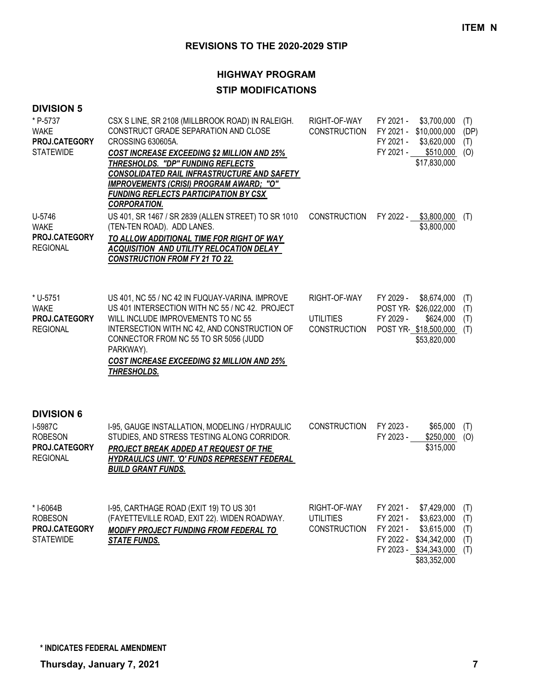#### **HIGHWAY PROGRAM**

## **STIP MODIFICATIONS**

| * P-5737<br><b>WAKE</b><br>PROJ.CATEGORY<br><b>STATEWIDE</b>                              | CSX S LINE, SR 2108 (MILLBROOK ROAD) IN RALEIGH.<br>CONSTRUCT GRADE SEPARATION AND CLOSE<br>CROSSING 630605A.<br><b>COST INCREASE EXCEEDING \$2 MILLION AND 25%</b><br>THRESHOLDS. "DP" FUNDING REFLECTS<br>CONSOLIDATED RAIL INFRASTRUCTURE AND SAFETY<br>IMPROVEMENTS (CRISI) PROGRAM AWARD; "O"<br><b>FUNDING REFLECTS PARTICIPATION BY CSX</b><br><b>CORPORATION.</b> | RIGHT-OF-WAY<br><b>CONSTRUCTION</b>                     | FY 2021 -<br>FY 2021 - \$10,000,000<br>FY 2021 -<br>FY 2021 -<br>\$17,830,000                              | \$3,700,000<br>\$3,620,000<br>$$510,000$ (O) | (T)<br>(DP)<br>(T)              |
|-------------------------------------------------------------------------------------------|---------------------------------------------------------------------------------------------------------------------------------------------------------------------------------------------------------------------------------------------------------------------------------------------------------------------------------------------------------------------------|---------------------------------------------------------|------------------------------------------------------------------------------------------------------------|----------------------------------------------|---------------------------------|
| U-5746<br><b>WAKE</b><br>PROJ.CATEGORY<br><b>REGIONAL</b>                                 | US 401, SR 1467 / SR 2839 (ALLEN STREET) TO SR 1010<br>(TEN-TEN ROAD). ADD LANES.<br>TO ALLOW ADDITIONAL TIME FOR RIGHT OF WAY<br>ACQUISITION AND UTILITY RELOCATION DELAY<br><b>CONSTRUCTION FROM FY 21 TO 22.</b>                                                                                                                                                       | <b>CONSTRUCTION</b>                                     | FY 2022 - \$3,800,000                                                                                      | \$3,800,000                                  | (T)                             |
| * U-5751<br><b>WAKE</b><br>PROJ.CATEGORY<br><b>REGIONAL</b>                               | US 401, NC 55 / NC 42 IN FUQUAY-VARINA. IMPROVE<br>US 401 INTERSECTION WITH NC 55 / NC 42. PROJECT<br>WILL INCLUDE IMPROVEMENTS TO NC 55<br>INTERSECTION WITH NC 42, AND CONSTRUCTION OF<br>CONNECTOR FROM NC 55 TO SR 5056 (JUDD<br>PARKWAY).<br><b>COST INCREASE EXCEEDING \$2 MILLION AND 25%</b><br>THRESHOLDS.                                                       | RIGHT-OF-WAY<br><b>UTILITIES</b><br><b>CONSTRUCTION</b> | FY 2029 -<br>POST YR-\$26,022,000<br>FY 2029 -<br>POST YR-\$18,500,000 (T)<br>\$53,820,000                 | \$8,674,000<br>\$624,000                     | (1)<br>(T)<br>(T)               |
| <b>DIVISION 6</b><br>I-5987C<br><b>ROBESON</b><br><b>PROJ.CATEGORY</b><br><b>REGIONAL</b> | I-95, GAUGE INSTALLATION, MODELING / HYDRAULIC<br>STUDIES, AND STRESS TESTING ALONG CORRIDOR.<br>PROJECT BREAK ADDED AT REQUEST OF THE<br>HYDRAULICS UNIT. 'O' FUNDS REPRESENT FEDERAL<br><b>BUILD GRANT FUNDS.</b>                                                                                                                                                       | <b>CONSTRUCTION</b>                                     | FY 2023 -<br>FY 2023 -                                                                                     | \$65,000<br>\$250,000<br>\$315,000           | (T)<br>(O)                      |
| * I-6064B<br><b>ROBESON</b><br>PROJ.CATEGORY<br><b>STATEWIDE</b>                          | I-95, CARTHAGE ROAD (EXIT 19) TO US 301<br>(FAYETTEVILLE ROAD, EXIT 22). WIDEN ROADWAY.<br>MODIFY PROJECT FUNDING FROM FEDERAL TO<br><b>STATE FUNDS.</b>                                                                                                                                                                                                                  | RIGHT-OF-WAY<br><b>UTILITIES</b><br><b>CONSTRUCTION</b> | FY 2021 -<br>FY 2021 -<br>FY 2021 -<br>FY 2022 -<br>\$34,342,000<br>FY 2023 - \$34,343,000<br>\$83,352,000 | \$7,429,000<br>\$3,623,000<br>\$3,615,000    | (T)<br>(T)<br>(T)<br>(T)<br>(T) |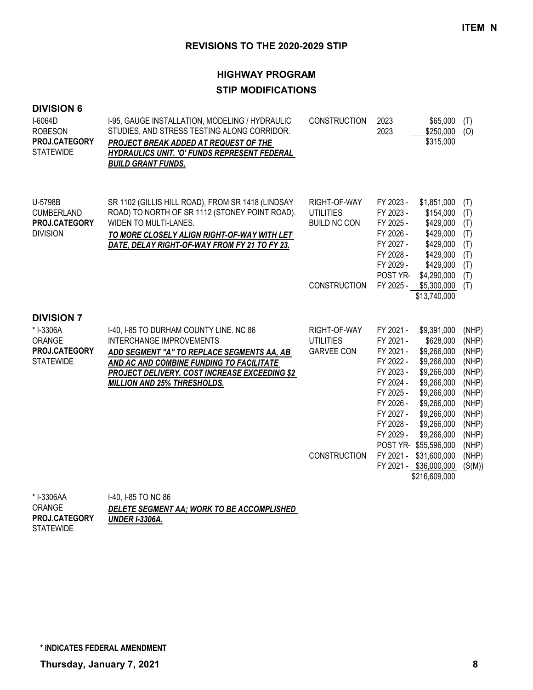# **HIGHWAY PROGRAM STIP MODIFICATIONS**

| <b>DIVISION 6</b><br>I-6064D<br><b>ROBESON</b><br>PROJ.CATEGORY<br><b>STATEWIDE</b> | I-95, GAUGE INSTALLATION, MODELING / HYDRAULIC<br>STUDIES, AND STRESS TESTING ALONG CORRIDOR.<br>PROJECT BREAK ADDED AT REQUEST OF THE<br>HYDRAULICS UNIT. 'O' FUNDS REPRESENT FEDERAL<br><b>BUILD GRANT FUNDS.</b>                                                | <b>CONSTRUCTION</b>                                                            | 2023<br>\$65,000<br>2023<br>\$250,000<br>\$315,000                                                                                                                                                                                                                                                                                                                                                             | (T)<br>(O)                                                                                                                  |
|-------------------------------------------------------------------------------------|--------------------------------------------------------------------------------------------------------------------------------------------------------------------------------------------------------------------------------------------------------------------|--------------------------------------------------------------------------------|----------------------------------------------------------------------------------------------------------------------------------------------------------------------------------------------------------------------------------------------------------------------------------------------------------------------------------------------------------------------------------------------------------------|-----------------------------------------------------------------------------------------------------------------------------|
| U-5798B<br><b>CUMBERLAND</b><br>PROJ.CATEGORY<br><b>DIVISION</b>                    | SR 1102 (GILLIS HILL ROAD), FROM SR 1418 (LINDSAY<br>ROAD) TO NORTH OF SR 1112 (STONEY POINT ROAD).<br>WIDEN TO MULTI-LANES.<br>TO MORE CLOSELY ALIGN RIGHT-OF-WAY WITH LET<br>DATE, DELAY RIGHT-OF-WAY FROM FY 21 TO FY 23.                                       | RIGHT-OF-WAY<br><b>UTILITIES</b><br><b>BUILD NC CON</b><br><b>CONSTRUCTION</b> | FY 2023 -<br>\$1,851,000<br>FY 2023 -<br>\$154,000<br>FY 2025 -<br>\$429,000<br>FY 2026 -<br>\$429,000<br>FY 2027 -<br>\$429,000<br>FY 2028 -<br>\$429,000<br>FY 2029 -<br>\$429,000<br>POST YR-<br>\$4,290,000<br>FY 2025 -<br>\$5,300,000<br>\$13,740,000                                                                                                                                                    | (T)<br>(T)<br>(T)<br>(T)<br>(T)<br>(T)<br>(T)<br>(T)<br>(T)                                                                 |
| <b>DIVISION 7</b><br>* I-3306A<br>ORANGE<br>PROJ.CATEGORY<br><b>STATEWIDE</b>       | I-40, I-85 TO DURHAM COUNTY LINE. NC 86<br><b>INTERCHANGE IMPROVEMENTS</b><br>ADD SEGMENT "A" TO REPLACE SEGMENTS AA, AB<br>AND AC AND COMBINE FUNDING TO FACILITATE<br><b>PROJECT DELIVERY. COST INCREASE EXCEEDING \$2</b><br><b>MILLION AND 25% THRESHOLDS.</b> | RIGHT-OF-WAY<br><b>UTILITIES</b><br><b>GARVEE CON</b><br><b>CONSTRUCTION</b>   | FY 2021 -<br>\$9,391,000<br>FY 2021 -<br>\$628,000<br>FY 2021 -<br>\$9,266,000<br>FY 2022 -<br>\$9,266,000<br>FY 2023 -<br>\$9,266,000<br>FY 2024 -<br>\$9,266,000<br>FY 2025 -<br>\$9,266,000<br>FY 2026 -<br>\$9,266,000<br>FY 2027 -<br>\$9,266,000<br>FY 2028 -<br>\$9,266,000<br>FY 2029 -<br>\$9,266,000<br>POST YR-\$55,596,000<br>FY 2021 -<br>\$31,600,000<br>FY 2021 - \$36,000,000<br>\$216,609,000 | (NHP)<br>(NHP)<br>(NHP)<br>(NHP)<br>(NHP)<br>(NHP)<br>(NHP)<br>(NHP)<br>(NHP)<br>(NHP)<br>(NHP)<br>(NHP)<br>(NHP)<br>(S(M)) |
| $*12200011$                                                                         | $1.40 \cdot 105$ TO NO $00$                                                                                                                                                                                                                                        |                                                                                |                                                                                                                                                                                                                                                                                                                                                                                                                |                                                                                                                             |

I-40, I-85 TO NC 86 *DELETE SEGMENT AA; WORK TO BE ACCOMPLISHED UNDER I-3306A.* l-3306AA ORANGE STATEWIDE **PROJ.CATEGORY**

**\* INDICATES FEDERAL AMENDMENT**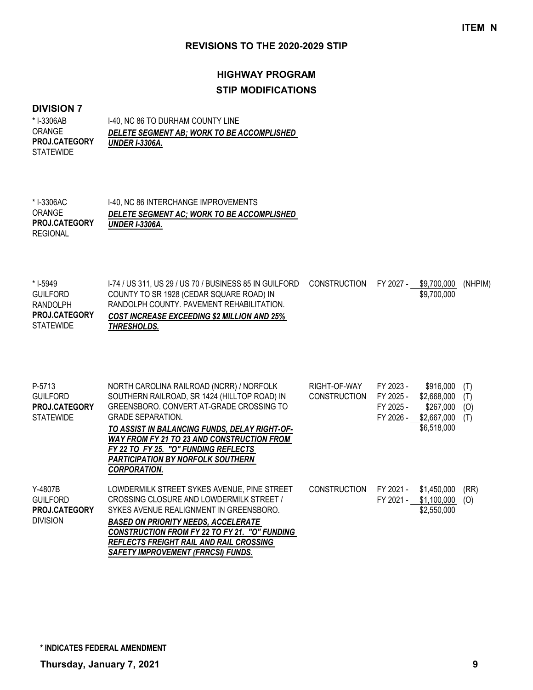# **HIGHWAY PROGRAM STIP MODIFICATIONS**

#### **DIVISION 7**

| * I-3306AB           | 1-40. NC 86 TO DURHAM COUNTY LINE          |
|----------------------|--------------------------------------------|
| <b>ORANGE</b>        | DELETE SEGMENT AB: WORK TO BE ACCOMPLISHED |
| <b>PROJ.CATEGORY</b> | <b>UNDER I-3306A.</b>                      |
| <b>STATEWIDE</b>     |                                            |

| * I-3306AC ·         | 1-40, NC 86 INTERCHANGE IMPROVEMENTS       |
|----------------------|--------------------------------------------|
| ORANGE               | DELETE SEGMENT AC: WORK TO BE ACCOMPLISHED |
| <b>PROJ.CATEGORY</b> | <b>UNDER I-3306A.</b>                      |
| REGIONAL             |                                            |

| * I-5949             | 1-74 / US 311, US 29 / US 70 / BUSINESS 85 IN GUILFORD | CONSTRUCTION FY 2027 - \$9,700,000 |             | (NHPIM) |
|----------------------|--------------------------------------------------------|------------------------------------|-------------|---------|
| <b>GUILFORD</b>      | COUNTY TO SR 1928 (CEDAR SQUARE ROAD) IN               |                                    | \$9.700.000 |         |
| RANDOLPH             | RANDOLPH COUNTY, PAVEMENT REHABILITATION.              |                                    |             |         |
| <b>PROJ.CATEGORY</b> | <b>COST INCREASE EXCEEDING \$2 MILLION AND 25%</b>     |                                    |             |         |
| <b>STATEWIDE</b>     | THRESHOLDS.                                            |                                    |             |         |

| P-5713<br><b>GUILFORD</b><br><b>PROJ.CATEGORY</b><br><b>STATEWIDE</b> | NORTH CAROLINA RAILROAD (NCRR) / NORFOLK<br>SOUTHERN RAILROAD, SR 1424 (HILLTOP ROAD) IN<br>GREENSBORO, CONVERT AT-GRADE CROSSING TO<br><b>GRADE SEPARATION.</b><br>TO ASSIST IN BALANCING FUNDS, DELAY RIGHT-OF-<br>WAY FROM FY 21 TO 23 AND CONSTRUCTION FROM<br>FY 22 TO FY 25. "O" FUNDING REFLECTS<br><b>PARTICIPATION BY NORFOLK SOUTHERN</b>     | RIGHT-OF-WAY<br><b>CONSTRUCTION</b> | FY 2023 -<br>FY 2025 -<br>FY 2025 -<br>FY 2026 - | \$916,000<br>\$2,668,000<br>\$267,000<br>\$2,667,000<br>\$6,518,000 | (T)<br>(T)<br>(O)<br>(T) |
|-----------------------------------------------------------------------|---------------------------------------------------------------------------------------------------------------------------------------------------------------------------------------------------------------------------------------------------------------------------------------------------------------------------------------------------------|-------------------------------------|--------------------------------------------------|---------------------------------------------------------------------|--------------------------|
| Y-4807B<br><b>GUILFORD</b><br><b>PROJ.CATEGORY</b><br><b>DIVISION</b> | <b>CORPORATION.</b><br>LOWDERMILK STREET SYKES AVENUE, PINE STREET<br>CROSSING CLOSURE AND LOWDERMILK STREET /<br>SYKES AVENUE REALIGNMENT IN GREENSBORO.<br><b>BASED ON PRIORITY NEEDS. ACCELERATE</b><br>CONSTRUCTION FROM FY 22 TO FY 21. "O" FUNDING<br><b>REFLECTS FREIGHT RAIL AND RAIL CROSSING</b><br><b>SAFETY IMPROVEMENT (FRRCSI) FUNDS.</b> | <b>CONSTRUCTION</b>                 | FY 2021 -<br>FY 2021 -                           | \$1,450,000<br>\$1,100,000<br>\$2,550,000                           | (RR)<br>(O)              |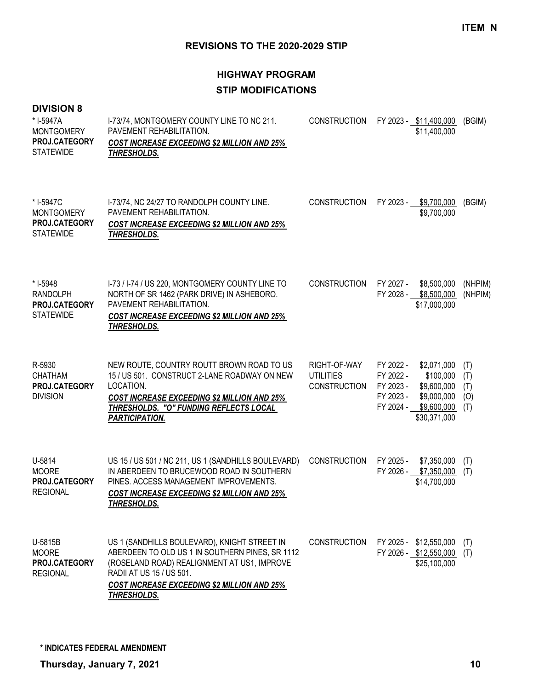# **HIGHWAY PROGRAM STIP MODIFICATIONS**

| <b>DIVISION 8</b><br>* I-5947A<br><b>MONTGOMERY</b><br>PROJ.CATEGORY<br><b>STATEWIDE</b> | I-73/74, MONTGOMERY COUNTY LINE TO NC 211.<br>PAVEMENT REHABILITATION.<br>COST INCREASE EXCEEDING \$2 MILLION AND 25%<br><b>THRESHOLDS.</b>                                                                                                     | <b>CONSTRUCTION</b>                                     |                                                               | FY 2023 - \$11,400,000<br>\$11,400,000                                                | (BGIM)                          |
|------------------------------------------------------------------------------------------|-------------------------------------------------------------------------------------------------------------------------------------------------------------------------------------------------------------------------------------------------|---------------------------------------------------------|---------------------------------------------------------------|---------------------------------------------------------------------------------------|---------------------------------|
| * I-5947C<br><b>MONTGOMERY</b><br>PROJ.CATEGORY<br><b>STATEWIDE</b>                      | I-73/74, NC 24/27 TO RANDOLPH COUNTY LINE.<br>PAVEMENT REHABILITATION.<br><b>COST INCREASE EXCEEDING \$2 MILLION AND 25%</b><br>THRESHOLDS.                                                                                                     | <b>CONSTRUCTION</b>                                     |                                                               | FY 2023 - \$9,700,000<br>\$9,700,000                                                  | (BGIM)                          |
| * I-5948<br><b>RANDOLPH</b><br>PROJ.CATEGORY<br><b>STATEWIDE</b>                         | I-73 / I-74 / US 220, MONTGOMERY COUNTY LINE TO<br>NORTH OF SR 1462 (PARK DRIVE) IN ASHEBORO.<br>PAVEMENT REHABILITATION.<br><b>COST INCREASE EXCEEDING \$2 MILLION AND 25%</b><br>THRESHOLDS.                                                  | <b>CONSTRUCTION</b>                                     | FY 2027 -                                                     | \$8,500,000<br>FY 2028 - \$8,500,000<br>\$17,000,000                                  | (NHPIM)<br>(NHPIM)              |
| R-5930<br><b>CHATHAM</b><br>PROJ.CATEGORY<br><b>DIVISION</b>                             | NEW ROUTE, COUNTRY ROUTT BROWN ROAD TO US<br>15 / US 501. CONSTRUCT 2-LANE ROADWAY ON NEW<br>LOCATION.<br><b>COST INCREASE EXCEEDING \$2 MILLION AND 25%</b><br>THRESHOLDS. "O" FUNDING REFLECTS LOCAL<br><b>PARTICIPATION.</b>                 | RIGHT-OF-WAY<br><b>UTILITIES</b><br><b>CONSTRUCTION</b> | FY 2022 -<br>FY 2022 -<br>FY 2023 -<br>FY 2023 -<br>FY 2024 - | \$2,071,000<br>\$100,000<br>\$9,600,000<br>\$9,000,000<br>\$9,600,000<br>\$30,371,000 | (T)<br>(T)<br>(T)<br>(0)<br>(T) |
| U-5814<br><b>MOORE</b><br>PROJ.CATEGORY<br><b>REGIONAL</b>                               | US 15 / US 501 / NC 211, US 1 (SANDHILLS BOULEVARD)<br>IN ABERDEEN TO BRUCEWOOD ROAD IN SOUTHERN<br>PINES. ACCESS MANAGEMENT IMPROVEMENTS.<br><b>COST INCREASE EXCEEDING \$2 MILLION AND 25%</b><br>THRESHOLDS.                                 | <b>CONSTRUCTION</b>                                     | FY 2025 -                                                     | \$7,350,000<br>FY 2026 - \$7,350,000<br>\$14,700,000                                  | (T)<br>(T)                      |
| U-5815B<br><b>MOORE</b><br>PROJ.CATEGORY<br><b>REGIONAL</b>                              | US 1 (SANDHILLS BOULEVARD), KNIGHT STREET IN<br>ABERDEEN TO OLD US 1 IN SOUTHERN PINES, SR 1112<br>(ROSELAND ROAD) REALIGNMENT AT US1, IMPROVE<br>RADII AT US 15 / US 501.<br><b>COST INCREASE EXCEEDING \$2 MILLION AND 25%</b><br>THRESHOLDS. | <b>CONSTRUCTION</b>                                     |                                                               | FY 2025 - \$12,550,000<br>FY 2026 - \$12,550,000 (T)<br>\$25,100,000                  | (T)                             |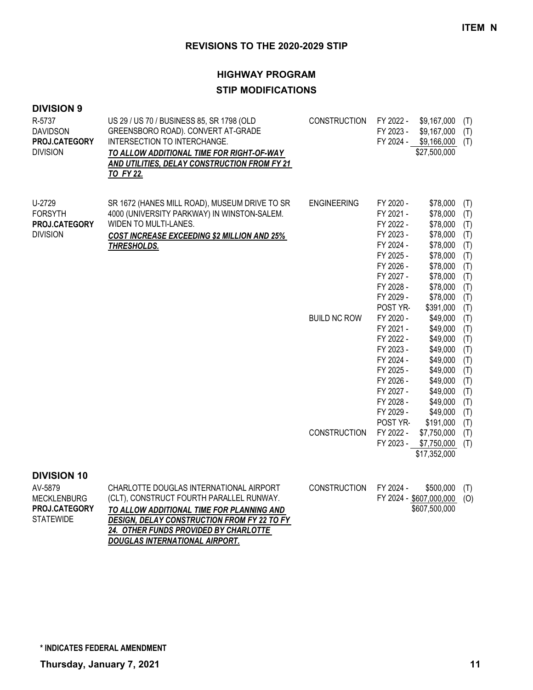#### **HIGHWAY PROGRAM**

## **STIP MODIFICATIONS**

| <b>DIVISION 9</b> |  |
|-------------------|--|
|-------------------|--|

| R-5737<br><b>DAVIDSON</b><br>PROJ.CATEGORY<br><b>DIVISION</b> | US 29 / US 70 / BUSINESS 85, SR 1798 (OLD<br>GREENSBORO ROAD). CONVERT AT-GRADE<br>INTERSECTION TO INTERCHANGE.<br>TO ALLOW ADDITIONAL TIME FOR RIGHT-OF-WAY<br>AND UTILITIES, DELAY CONSTRUCTION FROM FY 21<br>TO FY 22. | <b>CONSTRUCTION</b> | FY 2022 -<br>FY 2023 -<br>FY 2024 -                                                                                                        | \$9,167,000<br>\$9,167,000<br>\$9,166,000<br>\$27,500,000                                                                         | (T)<br>(T)<br>(T)                                                         |
|---------------------------------------------------------------|---------------------------------------------------------------------------------------------------------------------------------------------------------------------------------------------------------------------------|---------------------|--------------------------------------------------------------------------------------------------------------------------------------------|-----------------------------------------------------------------------------------------------------------------------------------|---------------------------------------------------------------------------|
| U-2729<br><b>FORSYTH</b><br>PROJ.CATEGORY<br><b>DIVISION</b>  | SR 1672 (HANES MILL ROAD), MUSEUM DRIVE TO SR<br>4000 (UNIVERSITY PARKWAY) IN WINSTON-SALEM.<br>WIDEN TO MULTI-LANES.<br><b>COST INCREASE EXCEEDING \$2 MILLION AND 25%</b><br>THRESHOLDS.                                | <b>ENGINEERING</b>  | FY 2020 -<br>FY 2021 -<br>FY 2022 -<br>FY 2023 -<br>FY 2024 -<br>FY 2025 -<br>FY 2026 -<br>FY 2027 -<br>FY 2028 -<br>FY 2029 -             | \$78,000<br>\$78,000<br>\$78,000<br>\$78,000<br>\$78,000<br>\$78,000<br>\$78,000<br>\$78,000<br>\$78,000<br>\$78,000              | (T)<br>(T)<br>(T)<br>(T)<br>(T)<br>(T)<br>(T)<br>(T)<br>(T)<br>(T)        |
|                                                               |                                                                                                                                                                                                                           | <b>BUILD NC ROW</b> | POST YR-<br>FY 2020 -<br>FY 2021 -<br>FY 2022 -<br>FY 2023 -<br>FY 2024 -<br>FY 2025 -<br>FY 2026 -<br>FY 2027 -<br>FY 2028 -<br>FY 2029 - | \$391,000<br>\$49,000<br>\$49,000<br>\$49,000<br>\$49,000<br>\$49,000<br>\$49,000<br>\$49,000<br>\$49,000<br>\$49,000<br>\$49,000 | (T)<br>(T)<br>(T)<br>(T)<br>(T)<br>(T)<br>(T)<br>(T)<br>(T)<br>(T)<br>(T) |
|                                                               |                                                                                                                                                                                                                           | <b>CONSTRUCTION</b> | POST YR-<br>FY 2022 -<br>FY 2023 -                                                                                                         | \$191,000<br>\$7,750,000<br>\$7,750,000<br>\$17,352,000                                                                           | (T)<br>(T)<br>(T)                                                         |
| <b>DIVISION 10</b><br>AYE070                                  | CHADI OTTE DOLICI AS INITEDNATIONAL AIDDODT                                                                                                                                                                               | CONICTDUCTION       | EV 2024                                                                                                                                    | P E A A A A A A T                                                                                                                 |                                                                           |

| AV-5879              | CHARLOTTE DOUGLAS INTERNATIONAL AIRPORT            | CONSTRUCTION FY 2024 - |                             | \$500.000 (T) |  |
|----------------------|----------------------------------------------------|------------------------|-----------------------------|---------------|--|
| MECKLENBURG          | (CLT), CONSTRUCT FOURTH PARALLEL RUNWAY.           |                        | FY 2024 - \$607,000,000 (O) |               |  |
| <b>PROJ.CATEGORY</b> | TO ALLOW ADDITIONAL TIME FOR PLANNING AND          |                        |                             | \$607,500,000 |  |
| STATEWIDE            | <b>DESIGN, DELAY CONSTRUCTION FROM FY 22 TO FY</b> |                        |                             |               |  |
|                      | <b>24. OTHER FUNDS PROVIDED BY CHARLOTTE</b>       |                        |                             |               |  |
|                      | DOUGLAS INTERNATIONAL AIRPORT.                     |                        |                             |               |  |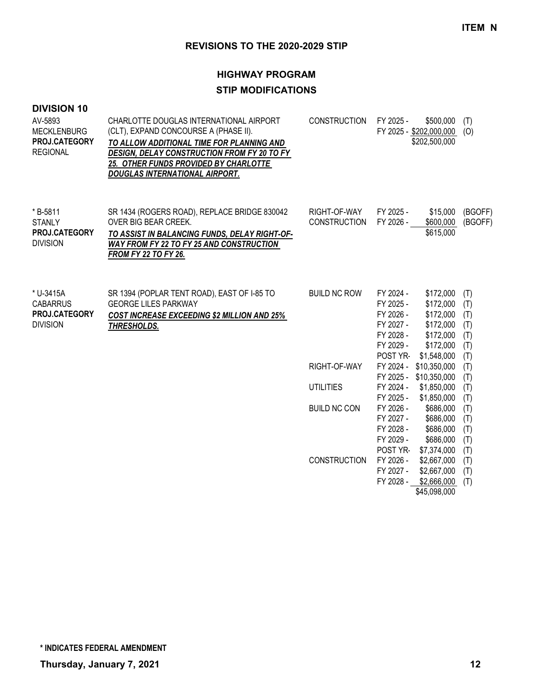# **HIGHWAY PROGRAM STIP MODIFICATIONS**

| <b>DIVISION 10</b><br>AV-5893<br><b>MECKLENBURG</b><br>PROJ.CATEGORY<br><b>REGIONAL</b> | CHARLOTTE DOUGLAS INTERNATIONAL AIRPORT<br>(CLT), EXPAND CONCOURSE A (PHASE II).<br>TO ALLOW ADDITIONAL TIME FOR PLANNING AND<br>DESIGN, DELAY CONSTRUCTION FROM FY 20 TO FY<br>25. OTHER FUNDS PROVIDED BY CHARLOTTE<br><b>DOUGLAS INTERNATIONAL AIRPORT.</b> | <b>CONSTRUCTION</b>                 | FY 2025 -<br>\$500,000<br>FY 2025 - \$202,000,000<br>\$202,500,000                                                                                                                  | (T)<br>(O)                                    |
|-----------------------------------------------------------------------------------------|----------------------------------------------------------------------------------------------------------------------------------------------------------------------------------------------------------------------------------------------------------------|-------------------------------------|-------------------------------------------------------------------------------------------------------------------------------------------------------------------------------------|-----------------------------------------------|
| * B-5811<br><b>STANLY</b><br>PROJ.CATEGORY<br><b>DIVISION</b>                           | SR 1434 (ROGERS ROAD), REPLACE BRIDGE 830042<br>OVER BIG BEAR CREEK.<br>TO ASSIST IN BALANCING FUNDS, DELAY RIGHT-OF-<br><b>WAY FROM FY 22 TO FY 25 AND CONSTRUCTION</b><br><b>FROM FY 22 TO FY 26.</b>                                                        | RIGHT-OF-WAY<br><b>CONSTRUCTION</b> | FY 2025 -<br>\$15,000<br>\$600,000<br>FY 2026 -<br>\$615,000                                                                                                                        | (BGOFF)<br>(BGOFF)                            |
| * U-3415A<br><b>CABARRUS</b><br>PROJ.CATEGORY<br><b>DIVISION</b>                        | SR 1394 (POPLAR TENT ROAD), EAST OF I-85 TO<br><b>GEORGE LILES PARKWAY</b><br><b>COST INCREASE EXCEEDING \$2 MILLION AND 25%</b><br>THRESHOLDS.                                                                                                                | <b>BUILD NC ROW</b>                 | FY 2024 -<br>\$172,000<br>FY 2025 -<br>\$172,000<br>FY 2026 -<br>\$172,000<br>FY 2027 -<br>\$172,000<br>FY 2028 -<br>\$172,000<br>\$172,000<br>FY 2029 -<br>POST YR-<br>\$1,548,000 | (T)<br>(T)<br>(T)<br>(T)<br>(T)<br>(T)<br>(T) |
|                                                                                         |                                                                                                                                                                                                                                                                | RIGHT-OF-WAY                        | FY 2024 - \$10,350,000<br>FY 2025 - \$10,350,000                                                                                                                                    | (T)<br>(T)                                    |
|                                                                                         |                                                                                                                                                                                                                                                                | <b>UTILITIES</b>                    | FY 2024 -<br>\$1,850,000<br>FY 2025 -<br>\$1,850,000                                                                                                                                | (T)<br>(T)                                    |
|                                                                                         |                                                                                                                                                                                                                                                                | <b>BUILD NC CON</b>                 | FY 2026 -<br>\$686,000<br>\$686,000<br>FY 2027 -<br>FY 2028 -<br>\$686,000<br>FY 2029 -<br>\$686,000<br>POST YR-<br>\$7,374,000                                                     | (T)<br>(T)<br>(T)<br>(T)<br>(T)               |
|                                                                                         |                                                                                                                                                                                                                                                                | <b>CONSTRUCTION</b>                 | FY 2026 -<br>\$2,667,000<br>FY 2027 -<br>\$2,667,000<br>FY 2028 -<br>\$2,666,000<br>\$45,098,000                                                                                    | (T)<br>(T)<br>(T)                             |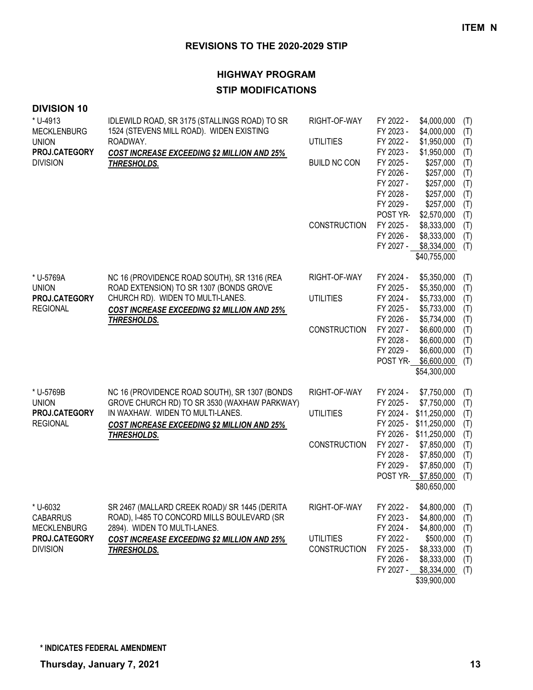# **HIGHWAY PROGRAM STIP MODIFICATIONS**

| <b>DIVISION 10</b>                                |                                                                                                                              |                                  |                                                               |                                                                                                    |                                 |
|---------------------------------------------------|------------------------------------------------------------------------------------------------------------------------------|----------------------------------|---------------------------------------------------------------|----------------------------------------------------------------------------------------------------|---------------------------------|
| * U-4913<br><b>MECKLENBURG</b>                    | IDLEWILD ROAD, SR 3175 (STALLINGS ROAD) TO SR<br>1524 (STEVENS MILL ROAD). WIDEN EXISTING<br>ROADWAY.                        | RIGHT-OF-WAY                     | FY 2022 -<br>FY 2023 -                                        | \$4,000,000<br>\$4,000,000                                                                         | (T)<br>(T)                      |
| <b>UNION</b><br>PROJ.CATEGORY                     |                                                                                                                              | <b>UTILITIES</b>                 | FY 2022 -<br>FY 2023 -                                        | \$1,950,000<br>\$1,950,000                                                                         | (T)<br>(T)                      |
| <b>DIVISION</b>                                   | COST INCREASE EXCEEDING \$2 MILLION AND 25%<br>THRESHOLDS.                                                                   | <b>BUILD NC CON</b>              | FY 2025 -<br>FY 2026 -<br>FY 2027 -<br>FY 2028 -<br>FY 2029 - | \$257,000<br>\$257,000<br>\$257,000<br>\$257,000<br>\$257,000                                      | (T)<br>(T)<br>(T)<br>(T)<br>(T) |
|                                                   |                                                                                                                              | <b>CONSTRUCTION</b>              | POST YR-<br>FY 2025 -<br>FY 2026 -<br>FY 2027 -               | \$2,570,000<br>\$8,333,000<br>\$8,333,000<br>\$8,334,000<br>\$40,755,000                           | (T)<br>(T)<br>(T)<br>(T)        |
| * U-5769A<br><b>UNION</b>                         | NC 16 (PROVIDENCE ROAD SOUTH), SR 1316 (REA<br>ROAD EXTENSION) TO SR 1307 (BONDS GROVE                                       | RIGHT-OF-WAY                     | FY 2024 -<br>FY 2025 -                                        | \$5,350,000<br>\$5,350,000                                                                         | (T)<br>(T)                      |
| PROJ.CATEGORY<br><b>REGIONAL</b>                  | CHURCH RD). WIDEN TO MULTI-LANES.<br><b>COST INCREASE EXCEEDING \$2 MILLION AND 25%</b><br><b>THRESHOLDS.</b>                | <b>UTILITIES</b>                 | FY 2024 -<br>FY 2025 -<br>FY 2026 -                           | \$5,733,000<br>\$5,733,000<br>\$5,734,000                                                          | (T)<br>(T)<br>(T)               |
|                                                   |                                                                                                                              | <b>CONSTRUCTION</b>              | FY 2027 -<br>FY 2028 -<br>FY 2029 -<br>POST YR-               | \$6,600,000<br>\$6,600,000<br>\$6,600,000<br>\$6,600,000<br>\$54,300,000                           | (T)<br>(T)<br>(T)<br>(T)        |
| * U-5769B<br><b>UNION</b>                         | NC 16 (PROVIDENCE ROAD SOUTH), SR 1307 (BONDS<br>GROVE CHURCH RD) TO SR 3530 (WAXHAW PARKWAY)                                | RIGHT-OF-WAY                     | FY 2024 -<br>FY 2025 -                                        | \$7,750,000<br>\$7,750,000                                                                         | (T)<br>(T)                      |
| PROJ.CATEGORY<br><b>REGIONAL</b>                  | IN WAXHAW. WIDEN TO MULTI-LANES.<br><b>COST INCREASE EXCEEDING \$2 MILLION AND 25%</b>                                       | <b>UTILITIES</b>                 | FY 2024 -<br>FY 2025 -                                        | \$11,250,000<br>\$11,250,000                                                                       | (T)<br>(T)                      |
|                                                   | <b>THRESHOLDS.</b>                                                                                                           | <b>CONSTRUCTION</b>              | FY 2027 -<br>FY 2028 -<br>FY 2029 -<br>POST YR-               | FY 2026 - \$11,250,000<br>\$7,850,000<br>\$7,850,000<br>\$7,850,000<br>\$7,850,000<br>\$80,650,000 | (T)<br>(T)<br>(T)<br>(T)<br>(T) |
| * U-6032<br><b>CABARRUS</b><br><b>MECKLENBURG</b> | SR 2467 (MALLARD CREEK ROAD)/ SR 1445 (DERITA<br>ROAD), I-485 TO CONCORD MILLS BOULEVARD (SR<br>2894). WIDEN TO MULTI-LANES. | RIGHT-OF-WAY                     | FY 2022 -<br>FY 2023 -<br>FY 2024 -                           | \$4,800,000<br>\$4,800,000<br>\$4,800,000                                                          | (T)<br>(T)<br>(T)               |
| PROJ.CATEGORY<br><b>DIVISION</b>                  | <b>COST INCREASE EXCEEDING \$2 MILLION AND 25%</b><br>THRESHOLDS.                                                            | UTILITIES<br><b>CONSTRUCTION</b> | FY 2022 -<br>FY 2025 -<br>FY 2026 -<br>FY 2027 -              | \$500,000<br>\$8,333,000<br>\$8,333,000<br>\$8,334,000<br>\$39,900,000                             | (T)<br>(T)<br>(T)<br>(T)        |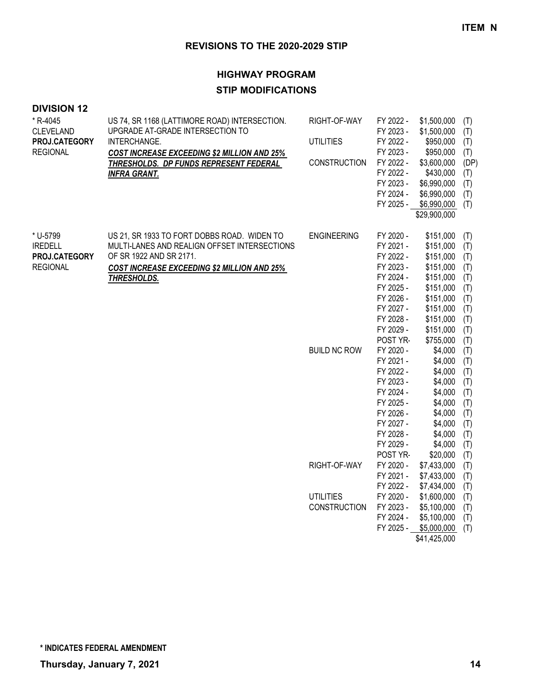# **HIGHWAY PROGRAM STIP MODIFICATIONS**

| * R-4045<br><b>CLEVELAND</b><br>PROJ.CATEGORY<br><b>REGIONAL</b> | US 74, SR 1168 (LATTIMORE ROAD) INTERSECTION.<br>UPGRADE AT-GRADE INTERSECTION TO<br>INTERCHANGE.<br><b>COST INCREASE EXCEEDING \$2 MILLION AND 25%</b><br>THRESHOLDS. DP FUNDS REPRESENT FEDERAL<br><b>INFRA GRANT.</b> | RIGHT-OF-WAY<br><b>UTILITIES</b><br>CONSTRUCTION | FY 2022 -<br>FY 2023 -<br>FY 2022 -<br>FY 2023 -<br>FY 2022 -<br>FY 2022 -<br>FY 2023 -<br>FY 2024 -<br>FY 2025 -                          | \$1,500,000<br>\$1,500,000<br>\$950,000<br>\$950,000<br>\$3,600,000<br>\$430,000<br>\$6,990,000<br>\$6,990,000<br>\$6,990,000<br>\$29,900,000 | (T)<br>(T)<br>(T)<br>(T)<br>(DP)<br>(T)<br>(T)<br>(T)<br>(T)              |
|------------------------------------------------------------------|--------------------------------------------------------------------------------------------------------------------------------------------------------------------------------------------------------------------------|--------------------------------------------------|--------------------------------------------------------------------------------------------------------------------------------------------|-----------------------------------------------------------------------------------------------------------------------------------------------|---------------------------------------------------------------------------|
| * U-5799<br><b>IREDELL</b><br>PROJ.CATEGORY<br><b>REGIONAL</b>   | US 21, SR 1933 TO FORT DOBBS ROAD. WIDEN TO<br>MULTI-LANES AND REALIGN OFFSET INTERSECTIONS<br>OF SR 1922 AND SR 2171.<br><b>COST INCREASE EXCEEDING \$2 MILLION AND 25%</b><br>THRESHOLDS.                              | <b>ENGINEERING</b>                               | FY 2020 -<br>FY 2021 -<br>FY 2022 -<br>FY 2023 -<br>FY 2024 -<br>FY 2025 -<br>FY 2026 -<br>FY 2027 -<br>FY 2028 -<br>FY 2029 -<br>POST YR- | \$151,000<br>\$151,000<br>\$151,000<br>\$151,000<br>\$151,000<br>\$151,000<br>\$151,000<br>\$151,000<br>\$151,000<br>\$151,000<br>\$755,000   | (T)<br>(T)<br>(T)<br>(T)<br>(T)<br>(T)<br>(T)<br>(T)<br>(T)<br>(T)<br>(T) |
|                                                                  |                                                                                                                                                                                                                          | <b>BUILD NC ROW</b>                              | FY 2020 -<br>FY 2021 -<br>FY 2022 -<br>FY 2023 -<br>FY 2024 -<br>FY 2025 -<br>FY 2026 -<br>FY 2027 -<br>FY 2028 -<br>FY 2029 -<br>POST YR- | \$4,000<br>\$4,000<br>\$4,000<br>\$4,000<br>\$4,000<br>\$4,000<br>\$4,000<br>\$4,000<br>\$4,000<br>\$4,000<br>\$20,000                        | (T)<br>(T)<br>(T)<br>(T)<br>(T)<br>(T)<br>(T)<br>(T)<br>(T)<br>(T)<br>(T) |
|                                                                  |                                                                                                                                                                                                                          | RIGHT-OF-WAY                                     | FY 2020 -<br>FY 2021 -<br>FY 2022 -                                                                                                        | \$7,433,000<br>\$7,433,000<br>\$7,434,000                                                                                                     | (T)<br>(T)<br>(T)                                                         |
|                                                                  |                                                                                                                                                                                                                          | <b>UTILITIES</b><br>CONSTRUCTION                 | FY 2020 -<br>FY 2023 -<br>FY 2024 -<br>FY 2025 -                                                                                           | \$1,600,000<br>\$5,100,000<br>\$5,100,000<br>\$5,000,000<br>\$41,425,000                                                                      | (T)<br>(T)<br>(T)<br>(T)                                                  |

**DIVISION 12**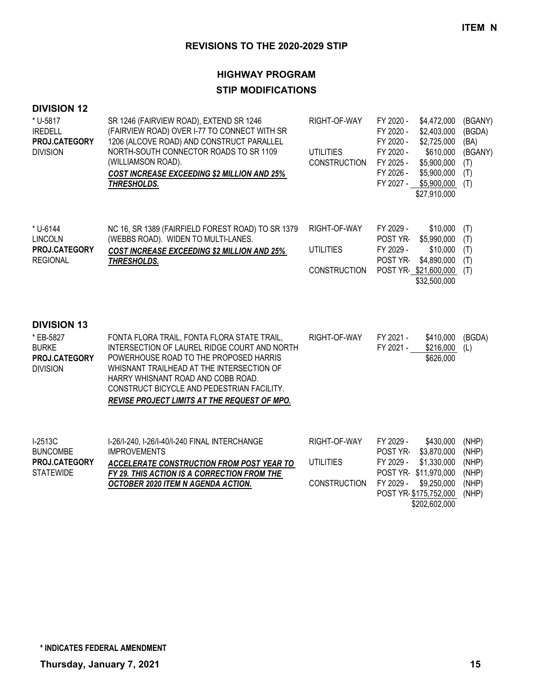# **HIGHWAY PROGRAM STIP MODIFICATIONS**

| <b>DIVISION 12</b><br>$*$ U-5817<br><b>IREDELL</b><br>PROJ.CATEGORY<br><b>DIVISION</b> | SR 1246 (FAIRVIEW ROAD), EXTEND SR 1246<br>(FAIRVIEW ROAD) OVER I-77 TO CONNECT WITH SR<br>1206 (ALCOVE ROAD) AND CONSTRUCT PARALLEL<br>NORTH-SOUTH CONNECTOR ROADS TO SR 1109<br>(WILLIAMSON ROAD).<br>COST INCREASE EXCEEDING \$2 MILLION AND 25%<br>THRESHOLDS.                                                     | RIGHT-OF-WAY<br><b>UTILITIES</b><br><b>CONSTRUCTION</b> | FY 2020 -<br>\$4,472,000<br>FY 2020 -<br>\$2,403,000<br>FY 2020 -<br>\$2,725,000<br>FY 2020 -<br>\$610,000<br>FY 2025 -<br>\$5,900,000<br>FY 2026 -<br>\$5,900,000<br>FY 2027 -<br>\$5,900,000<br>\$27,910,000 | (BGANY)<br>(BGDA)<br>(BA)<br>(BGANY)<br>(T)<br>(T)<br>(T) |
|----------------------------------------------------------------------------------------|------------------------------------------------------------------------------------------------------------------------------------------------------------------------------------------------------------------------------------------------------------------------------------------------------------------------|---------------------------------------------------------|----------------------------------------------------------------------------------------------------------------------------------------------------------------------------------------------------------------|-----------------------------------------------------------|
| * U-6144<br><b>LINCOLN</b><br>PROJ.CATEGORY<br><b>REGIONAL</b>                         | NC 16, SR 1389 (FAIRFIELD FOREST ROAD) TO SR 1379<br>(WEBBS ROAD). WIDEN TO MULTI-LANES.<br>COST INCREASE EXCEEDING \$2 MILLION AND 25%<br>THRESHOLDS.                                                                                                                                                                 | RIGHT-OF-WAY<br><b>UTILITIES</b><br><b>CONSTRUCTION</b> | FY 2029 -<br>\$10,000<br>POST YR-<br>\$5,990,000<br>FY 2029 -<br>\$10,000<br>POST YR-<br>\$4,890,000<br>POST YR-\$21,600,000<br>\$32,500,000                                                                   | (T)<br>(T)<br>(T)<br>(T)<br>(T)                           |
| <b>DIVISION 13</b><br>* EB-5827<br><b>BURKE</b><br>PROJ.CATEGORY<br><b>DIVISION</b>    | FONTA FLORA TRAIL, FONTA FLORA STATE TRAIL,<br>INTERSECTION OF LAUREL RIDGE COURT AND NORTH<br>POWERHOUSE ROAD TO THE PROPOSED HARRIS<br>WHISNANT TRAILHEAD AT THE INTERSECTION OF<br>HARRY WHISNANT ROAD AND COBB ROAD.<br>CONSTRUCT BICYCLE AND PEDESTRIAN FACILITY.<br>REVISE PROJECT LIMITS AT THE REQUEST OF MPO. | RIGHT-OF-WAY                                            | FY 2021 -<br>\$410,000<br>FY 2021 -<br>\$216,000<br>\$626,000                                                                                                                                                  | (BGDA)<br>(L)                                             |
| I-2513C<br><b>BUNCOMBE</b><br>PROJ.CATEGORY<br><b>STATEWIDE</b>                        | I-26/I-240, I-26/I-40/I-240 FINAL INTERCHANGE<br><b>IMPROVEMENTS</b><br>ACCELERATE CONSTRUCTION FROM POST YEAR TO<br><b>FY 29. THIS ACTION IS A CORRECTION FROM THE</b><br><b>OCTOBER 2020 ITEM N AGENDA ACTION.</b>                                                                                                   | RIGHT-OF-WAY<br><b>UTILITIES</b><br><b>CONSTRUCTION</b> | FY 2029 -<br>\$430,000<br>POST YR-<br>\$3,870,000<br>FY 2029 -<br>\$1,330,000<br>POST YR- \$11,970,000<br>FY 2029 -<br>\$9,250,000<br>POST YR-\$175,752,000<br>\$202,602,000                                   | (NHP)<br>(NHP)<br>(NHP)<br>(NHP)<br>(NHP)<br>(NHP)        |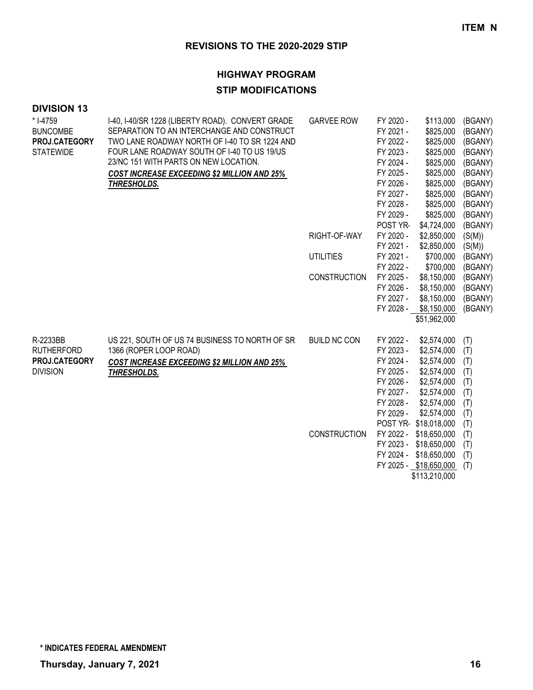# **HIGHWAY PROGRAM**

## **STIP MODIFICATIONS**

| <b>DIVISION 13</b> |                                                    |                     |           |                        |         |
|--------------------|----------------------------------------------------|---------------------|-----------|------------------------|---------|
| * I-4759           | I-40, I-40/SR 1228 (LIBERTY ROAD). CONVERT GRADE   | <b>GARVEE ROW</b>   | FY 2020 - | \$113,000              | (BGANY) |
| <b>BUNCOMBE</b>    | SEPARATION TO AN INTERCHANGE AND CONSTRUCT         |                     | FY 2021 - | \$825,000              | (BGANY) |
| PROJ.CATEGORY      | TWO LANE ROADWAY NORTH OF I-40 TO SR 1224 AND      |                     | FY 2022 - | \$825,000              | (BGANY) |
| <b>STATEWIDE</b>   | FOUR LANE ROADWAY SOUTH OF I-40 TO US 19/US        |                     | FY 2023 - | \$825,000              | (BGANY) |
|                    | 23/NC 151 WITH PARTS ON NEW LOCATION.              |                     | FY 2024 - | \$825,000              | (BGANY) |
|                    | <b>COST INCREASE EXCEEDING \$2 MILLION AND 25%</b> |                     | FY 2025 - | \$825,000              | (BGANY) |
|                    | THRESHOLDS.                                        |                     | FY 2026 - | \$825,000              | (BGANY) |
|                    |                                                    |                     | FY 2027 - | \$825,000              | (BGANY) |
|                    |                                                    |                     | FY 2028 - | \$825,000              | (BGANY) |
|                    |                                                    |                     | FY 2029 - | \$825,000              | (BGANY) |
|                    |                                                    |                     | POST YR-  | \$4,724,000            | (BGANY) |
|                    |                                                    | RIGHT-OF-WAY        | FY 2020 - | \$2,850,000            | (S(M))  |
|                    |                                                    |                     | FY 2021 - | \$2,850,000            | (S(M))  |
|                    |                                                    | <b>UTILITIES</b>    | FY 2021 - | \$700,000              | (BGANY) |
|                    |                                                    |                     | FY 2022 - | \$700,000              | (BGANY) |
|                    |                                                    | <b>CONSTRUCTION</b> | FY 2025 - | \$8,150,000            | (BGANY) |
|                    |                                                    |                     | FY 2026 - | \$8,150,000            | (BGANY) |
|                    |                                                    |                     | FY 2027 - | \$8,150,000            | (BGANY) |
|                    |                                                    |                     |           | FY 2028 - \$8,150,000  | (BGANY) |
|                    |                                                    |                     |           | \$51,962,000           |         |
| R-2233BB           | US 221, SOUTH OF US 74 BUSINESS TO NORTH OF SR     | <b>BUILD NC CON</b> | FY 2022 - | \$2,574,000            | (T)     |
| <b>RUTHERFORD</b>  | 1366 (ROPER LOOP ROAD)                             |                     | FY 2023 - | \$2,574,000            | (T)     |
| PROJ.CATEGORY      | <b>COST INCREASE EXCEEDING \$2 MILLION AND 25%</b> |                     | FY 2024 - | \$2,574,000            | (T)     |
| <b>DIVISION</b>    | THRESHOLDS.                                        |                     | FY 2025 - | \$2,574,000            | (T)     |
|                    |                                                    |                     | FY 2026 - | \$2,574,000            | (T)     |
|                    |                                                    |                     | FY 2027 - | \$2,574,000            | (T)     |
|                    |                                                    |                     | FY 2028 - | \$2,574,000            | (T)     |
|                    |                                                    |                     | FY 2029 - | \$2,574,000            | (T)     |
|                    |                                                    |                     |           | POST YR-\$18,018,000   | (T)     |
|                    |                                                    | <b>CONSTRUCTION</b> |           | FY 2022 - \$18,650,000 | (T)     |
|                    |                                                    |                     |           | FY 2023 - \$18,650,000 | (T)     |
|                    |                                                    |                     |           | FY 2024 - \$18,650,000 | (T)     |
|                    |                                                    |                     |           | FY 2025 - \$18,650,000 | (T)     |
|                    |                                                    |                     |           | \$113,210,000          |         |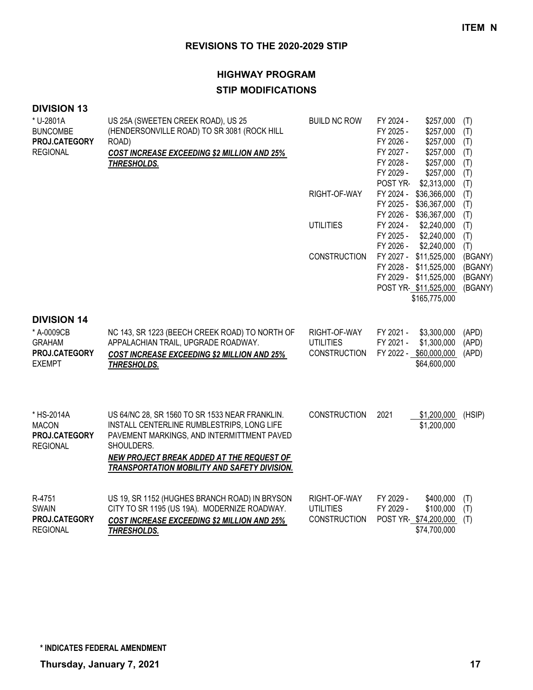# **HIGHWAY PROGRAM STIP MODIFICATIONS**

| <b>DIVISION 13</b> |  |
|--------------------|--|
|--------------------|--|

| * U-2801A<br><b>BUNCOMBE</b><br>PROJ.CATEGORY<br><b>REGIONAL</b>                    | US 25A (SWEETEN CREEK ROAD), US 25<br>(HENDERSONVILLE ROAD) TO SR 3081 (ROCK HILL<br>ROAD)<br><b>COST INCREASE EXCEEDING \$2 MILLION AND 25%</b><br>THRESHOLDS.                                                                                       | <b>BUILD NC ROW</b>                                     | FY 2024 -<br>\$257,000<br>FY 2025 -<br>\$257,000<br>FY 2026 -<br>\$257,000<br>FY 2027 -<br>\$257,000<br>FY 2028 -<br>\$257,000<br>FY 2029 -<br>\$257,000 | (T)<br>(T)<br>(T)<br>(T)<br>(T)<br>(T)   |
|-------------------------------------------------------------------------------------|-------------------------------------------------------------------------------------------------------------------------------------------------------------------------------------------------------------------------------------------------------|---------------------------------------------------------|----------------------------------------------------------------------------------------------------------------------------------------------------------|------------------------------------------|
|                                                                                     |                                                                                                                                                                                                                                                       | RIGHT-OF-WAY                                            | POST YR-<br>\$2,313,000<br>FY 2024 -<br>\$36,366,000<br>FY 2025 -<br>\$36,367,000<br>\$36,367,000<br>FY 2026 -                                           | (T)<br>(T)<br>(T)<br>(T)                 |
|                                                                                     |                                                                                                                                                                                                                                                       | <b>UTILITIES</b>                                        | FY 2024 -<br>\$2,240,000<br>FY 2025 -<br>\$2,240,000<br>FY 2026 -<br>\$2,240,000                                                                         | (T)<br>(T)<br>(T)                        |
|                                                                                     |                                                                                                                                                                                                                                                       | <b>CONSTRUCTION</b>                                     | FY 2027 -<br>\$11,525,000<br>FY 2028 -<br>\$11,525,000<br>FY 2029 -<br>\$11,525,000<br>POST YR-\$11,525,000<br>\$165,775,000                             | (BGANY)<br>(BGANY)<br>(BGANY)<br>(BGANY) |
| <b>DIVISION 14</b><br>* A-0009CB<br><b>GRAHAM</b><br>PROJ.CATEGORY<br><b>EXEMPT</b> | NC 143, SR 1223 (BEECH CREEK ROAD) TO NORTH OF<br>APPALACHIAN TRAIL, UPGRADE ROADWAY.<br><b>COST INCREASE EXCEEDING \$2 MILLION AND 25%</b><br>THRESHOLDS.                                                                                            | RIGHT-OF-WAY<br><b>UTILITIES</b><br><b>CONSTRUCTION</b> | FY 2021 -<br>\$3,300,000<br>FY 2021 -<br>\$1,300,000<br>FY 2022 - \$60,000,000<br>\$64,600,000                                                           | (APD)<br>(APD)<br>(APD)                  |
| * HS-2014A<br><b>MACON</b><br>PROJ.CATEGORY<br><b>REGIONAL</b>                      | US 64/NC 28, SR 1560 TO SR 1533 NEAR FRANKLIN.<br>INSTALL CENTERLINE RUMBLESTRIPS, LONG LIFE<br>PAVEMENT MARKINGS, AND INTERMITTMENT PAVED<br>SHOULDERS.<br>NEW PROJECT BREAK ADDED AT THE REQUEST OF<br>TRANSPORTATION MOBILITY AND SAFETY DIVISION. | <b>CONSTRUCTION</b>                                     | 2021<br>\$1,200,000<br>\$1,200,000                                                                                                                       | (HSIP)                                   |
| R-4751<br><b>SWAIN</b><br>PROJ.CATEGORY<br><b>REGIONAL</b>                          | US 19, SR 1152 (HUGHES BRANCH ROAD) IN BRYSON<br>CITY TO SR 1195 (US 19A). MODERNIZE ROADWAY.<br><b>COST INCREASE EXCEEDING \$2 MILLION AND 25%</b><br>THRESHOLDS.                                                                                    | RIGHT-OF-WAY<br><b>UTILITIES</b><br><b>CONSTRUCTION</b> | FY 2029 -<br>\$400,000<br>FY 2029 -<br>\$100,000<br>POST YR-\$74,200,000<br>\$74,700,000                                                                 | (T)<br>(T)<br>(T)                        |

**\* INDICATES FEDERAL AMENDMENT**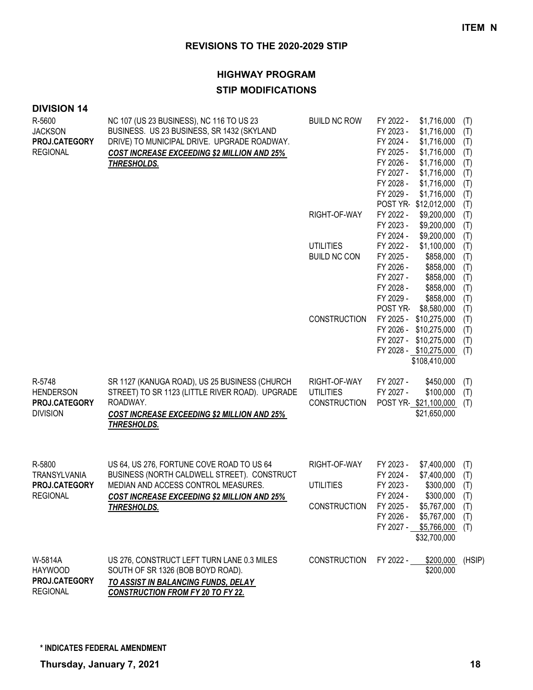# **HIGHWAY PROGRAM**

## **STIP MODIFICATIONS**

#### **DIVISION 14**

| R-5600<br><b>JACKSON</b><br>PROJ.CATEGORY<br><b>REGIONAL</b>   | NC 107 (US 23 BUSINESS), NC 116 TO US 23<br>BUSINESS. US 23 BUSINESS, SR 1432 (SKYLAND<br>DRIVE) TO MUNICIPAL DRIVE. UPGRADE ROADWAY.<br><b>COST INCREASE EXCEEDING \$2 MILLION AND 25%</b><br>THRESHOLDS.  | <b>BUILD NC ROW</b>                                     | FY 2022 -<br>\$1,716,000<br>FY 2023 -<br>\$1,716,000<br>FY 2024 -<br>\$1,716,000<br>FY 2025 -<br>\$1,716,000<br>FY 2026 -<br>\$1,716,000<br>FY 2027 -<br>\$1,716,000<br>FY 2028 -<br>\$1,716,000<br>FY 2029 -<br>\$1,716,000 | (T)<br>(T)<br>(T)<br>(T)<br>(T)<br>(T)<br>(T)<br>(T) |
|----------------------------------------------------------------|-------------------------------------------------------------------------------------------------------------------------------------------------------------------------------------------------------------|---------------------------------------------------------|------------------------------------------------------------------------------------------------------------------------------------------------------------------------------------------------------------------------------|------------------------------------------------------|
|                                                                |                                                                                                                                                                                                             | RIGHT-OF-WAY                                            | POST YR-\$12,012,000<br>FY 2022 -<br>\$9,200,000<br>FY 2023 -<br>\$9,200,000                                                                                                                                                 | (T)<br>(T)<br>(T)                                    |
|                                                                |                                                                                                                                                                                                             | <b>UTILITIES</b><br><b>BUILD NC CON</b>                 | FY 2024 -<br>\$9,200,000<br>FY 2022 -<br>\$1,100,000<br>FY 2025 -<br>\$858,000<br>FY 2026 -<br>\$858,000<br>FY 2027 -<br>\$858,000<br>FY 2028 -<br>\$858,000<br>FY 2029 -<br>\$858,000                                       | (T)<br>(T)<br>(T)<br>(T)<br>(T)<br>(T)<br>(T)        |
|                                                                |                                                                                                                                                                                                             | <b>CONSTRUCTION</b>                                     | POST YR-<br>\$8,580,000<br>FY 2025 -<br>\$10,275,000<br>FY 2026 -<br>\$10,275,000<br>FY 2027 -<br>\$10,275,000<br>FY 2028 - \$10,275,000<br>\$108,410,000                                                                    | (T)<br>(T)<br>(T)<br>(T)<br>(T)                      |
| R-5748<br><b>HENDERSON</b><br>PROJ.CATEGORY<br><b>DIVISION</b> | SR 1127 (KANUGA ROAD), US 25 BUSINESS (CHURCH)<br>STREET) TO SR 1123 (LITTLE RIVER ROAD). UPGRADE<br>ROADWAY.<br><b>COST INCREASE EXCEEDING \$2 MILLION AND 25%</b><br>THRESHOLDS.                          | RIGHT-OF-WAY<br><b>UTILITIES</b><br><b>CONSTRUCTION</b> | FY 2027 -<br>\$450,000<br>FY 2027 -<br>\$100,000<br>POST YR-\$21,100,000<br>\$21,650,000                                                                                                                                     | (T)<br>(T)<br>(T)                                    |
| R-5800<br>TRANSYLVANIA<br>PROJ.CATEGORY<br><b>REGIONAL</b>     | US 64, US 276, FORTUNE COVE ROAD TO US 64<br>BUSINESS (NORTH CALDWELL STREET). CONSTRUCT<br>MEDIAN AND ACCESS CONTROL MEASURES.<br><b>COST INCREASE EXCEEDING \$2 MILLION AND 25%</b><br><u>THRESHOLDS.</u> | RIGHT-OF-WAY<br><b>UTILITIES</b><br><b>CONSTRUCTION</b> | FY 2023 -<br>\$7,400,000<br>FY 2024 -<br>\$7,400,000<br>FY 2023 -<br>\$300,000<br>FY 2024 -<br>\$300,000<br>FY 2025 -<br>\$5,767,000<br>FY 2026 -<br>\$5,767,000<br>FY 2027 -<br>\$5,766,000<br>\$32,700,000                 | (T)<br>(T)<br>(T)<br>(T)<br>(T)<br>(T)<br>(T)        |
| W-5814A<br><b>HAYWOOD</b><br>PROJ.CATEGORY<br><b>REGIONAL</b>  | US 276, CONSTRUCT LEFT TURN LANE 0.3 MILES<br>SOUTH OF SR 1326 (BOB BOYD ROAD).<br>TO ASSIST IN BALANCING FUNDS, DELAY<br><b>CONSTRUCTION FROM FY 20 TO FY 22.</b>                                          | <b>CONSTRUCTION</b>                                     | FY 2022 -<br>\$200,000<br>\$200,000                                                                                                                                                                                          | (HSIP)                                               |

**\* INDICATES FEDERAL AMENDMENT**

**Thursday, January 7, 2021 18**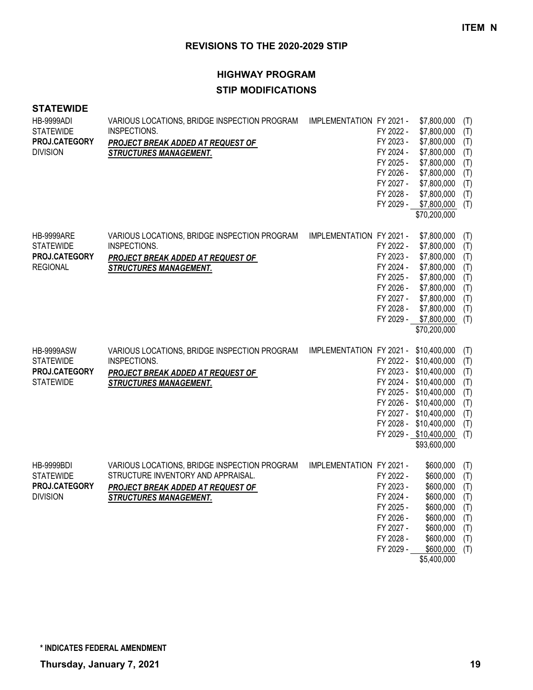# **HIGHWAY PROGRAM STIP MODIFICATIONS**

#### **STATEWIDE**

| <b>HB-9999ADI</b><br><b>STATEWIDE</b><br>PROJ.CATEGORY<br><b>DIVISION</b>  | VARIOUS LOCATIONS, BRIDGE INSPECTION PROGRAM<br>INSPECTIONS.<br>PROJECT BREAK ADDED AT REQUEST OF<br><b>STRUCTURES MANAGEMENT.</b>                       | IMPLEMENTATION FY 2021 -              | FY 2022 -<br>FY 2023 -<br>FY 2024 -<br>FY 2025 -<br>FY 2026 -<br>FY 2027 -<br>FY 2028 -<br>FY 2029 - | \$7,800,000<br>\$7,800,000<br>\$7,800,000<br>\$7,800,000<br>\$7,800,000<br>\$7,800,000<br>\$7,800,000<br>\$7,800,000<br>\$7,800,000<br>\$70,200,000                                                                          | (T)<br>(T)<br>(T)<br>(T)<br>(T)<br>(T)<br>(T)<br>(T)<br>(T) |
|----------------------------------------------------------------------------|----------------------------------------------------------------------------------------------------------------------------------------------------------|---------------------------------------|------------------------------------------------------------------------------------------------------|------------------------------------------------------------------------------------------------------------------------------------------------------------------------------------------------------------------------------|-------------------------------------------------------------|
| <b>HB-9999ARE</b><br><b>STATEWIDE</b><br>PROJ.CATEGORY<br><b>REGIONAL</b>  | VARIOUS LOCATIONS, BRIDGE INSPECTION PROGRAM<br>INSPECTIONS.<br>PROJECT BREAK ADDED AT REQUEST OF<br><b>STRUCTURES MANAGEMENT.</b>                       | IMPLEMENTATION FY 2021 -              | FY 2022 -<br>FY 2023 -<br>FY 2024 -<br>FY 2025 -<br>FY 2026 -<br>FY 2027 -<br>FY 2028 -              | \$7,800,000<br>\$7,800,000<br>\$7,800,000<br>\$7,800,000<br>\$7,800,000<br>\$7,800,000<br>\$7,800,000<br>\$7,800,000<br>FY 2029 - \$7,800,000<br>\$70,200,000                                                                | (T)<br>(T)<br>(T)<br>(T)<br>(T)<br>(T)<br>(T)<br>(T)<br>(T) |
| <b>HB-9999ASW</b><br><b>STATEWIDE</b><br>PROJ.CATEGORY<br><b>STATEWIDE</b> | VARIOUS LOCATIONS, BRIDGE INSPECTION PROGRAM<br>INSPECTIONS.<br>PROJECT BREAK ADDED AT REQUEST OF<br><b>STRUCTURES MANAGEMENT.</b>                       | IMPLEMENTATION FY 2021 - \$10,400,000 |                                                                                                      | FY 2022 - \$10,400,000<br>FY 2023 - \$10,400,000<br>FY 2024 - \$10,400,000<br>FY 2025 - \$10,400,000<br>FY 2026 - \$10,400,000<br>FY 2027 - \$10,400,000<br>FY 2028 - \$10,400,000<br>FY 2029 - \$10,400,000<br>\$93,600,000 | (T)<br>(T)<br>(T)<br>(T)<br>(T)<br>(T)<br>(T)<br>(T)<br>(T) |
| <b>HB-9999BDI</b><br><b>STATEWIDE</b><br>PROJ.CATEGORY<br><b>DIVISION</b>  | VARIOUS LOCATIONS, BRIDGE INSPECTION PROGRAM<br>STRUCTURE INVENTORY AND APPRAISAL.<br>PROJECT BREAK ADDED AT REQUEST OF<br><b>STRUCTURES MANAGEMENT.</b> | IMPLEMENTATION FY 2021 -              | FY 2022 -<br>FY 2023 -<br>FY 2024 -<br>FY 2025 -<br>FY 2026 -<br>FY 2027 -<br>FY 2028 -<br>FY 2029 - | \$600,000<br>\$600,000<br>\$600,000<br>\$600,000<br>\$600,000<br>\$600,000<br>\$600,000<br>\$600,000<br>\$600,000<br>\$5,400,000                                                                                             | (T)<br>(T)<br>(T)<br>(T)<br>(T)<br>(T)<br>(T)<br>(T)<br>(T) |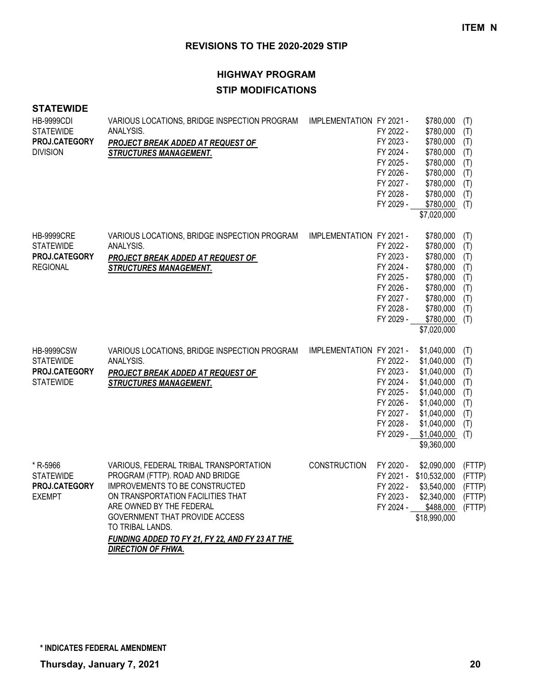# **HIGHWAY PROGRAM STIP MODIFICATIONS**

#### **STATEWIDE**

| <b>HB-9999CDI</b><br><b>STATEWIDE</b><br>PROJ.CATEGORY<br><b>DIVISION</b>  | VARIOUS LOCATIONS, BRIDGE INSPECTION PROGRAM<br>ANALYSIS.<br>PROJECT BREAK ADDED AT REQUEST OF<br><b>STRUCTURES MANAGEMENT.</b>                                                                                                                                                                                    | IMPLEMENTATION FY 2021 - | FY 2022 -<br>FY 2023 -<br>FY 2024 -<br>FY 2025 -<br>FY 2026 -<br>FY 2027 -<br>FY 2028 -<br>FY 2029 - | \$780,000<br>\$780,000<br>\$780,000<br>\$780,000<br>\$780,000<br>\$780,000<br>\$780,000<br>\$780,000<br>\$780,000<br>\$7,020,000                   | (T)<br>(T)<br>(T)<br>(T)<br>(T)<br>(T)<br>(T)<br>(T)<br>(T) |
|----------------------------------------------------------------------------|--------------------------------------------------------------------------------------------------------------------------------------------------------------------------------------------------------------------------------------------------------------------------------------------------------------------|--------------------------|------------------------------------------------------------------------------------------------------|----------------------------------------------------------------------------------------------------------------------------------------------------|-------------------------------------------------------------|
| <b>HB-9999CRE</b><br><b>STATEWIDE</b><br>PROJ.CATEGORY<br><b>REGIONAL</b>  | VARIOUS LOCATIONS, BRIDGE INSPECTION PROGRAM<br>ANALYSIS.<br>PROJECT BREAK ADDED AT REQUEST OF<br><b>STRUCTURES MANAGEMENT.</b>                                                                                                                                                                                    | IMPLEMENTATION FY 2021 - | FY 2022 -<br>FY 2023 -<br>FY 2024 -<br>FY 2025 -<br>FY 2026 -<br>FY 2027 -<br>FY 2028 -<br>FY 2029 - | \$780,000<br>\$780,000<br>\$780,000<br>\$780,000<br>\$780,000<br>\$780,000<br>\$780,000<br>\$780,000<br>\$780,000<br>\$7,020,000                   | (T)<br>(T)<br>(T)<br>(T)<br>(T)<br>(T)<br>(T)<br>(T)<br>(T) |
| <b>HB-9999CSW</b><br><b>STATEWIDE</b><br>PROJ.CATEGORY<br><b>STATEWIDE</b> | VARIOUS LOCATIONS, BRIDGE INSPECTION PROGRAM<br>ANALYSIS.<br>PROJECT BREAK ADDED AT REQUEST OF<br><b>STRUCTURES MANAGEMENT.</b>                                                                                                                                                                                    | IMPLEMENTATION FY 2021 - | FY 2022 -<br>FY 2023 -<br>FY 2024 -<br>FY 2025 -<br>FY 2026 -<br>FY 2027 -<br>FY 2028 -<br>FY 2029 - | \$1,040,000<br>\$1,040,000<br>\$1,040,000<br>\$1,040,000<br>\$1,040,000<br>\$1,040,000<br>\$1,040,000<br>\$1,040,000<br>\$1,040,000<br>\$9,360,000 | (T)<br>(T)<br>(T)<br>(T)<br>(T)<br>(T)<br>(T)<br>(T)<br>(T) |
| * R-5966<br><b>STATEWIDE</b><br>PROJ.CATEGORY<br><b>EXEMPT</b>             | VARIOUS, FEDERAL TRIBAL TRANSPORTATION<br>PROGRAM (FTTP). ROAD AND BRIDGE<br>IMPROVEMENTS TO BE CONSTRUCTED<br>ON TRANSPORTATION FACILITIES THAT<br>ARE OWNED BY THE FEDERAL<br>GOVERNMENT THAT PROVIDE ACCESS<br>TO TRIBAL LANDS.<br>FUNDING ADDED TO FY 21, FY 22, AND FY 23 AT THE<br><b>DIRECTION OF FHWA.</b> | <b>CONSTRUCTION</b>      | FY 2020 -<br>FY 2022 -<br>FY 2023 -                                                                  | \$2,090,000<br>FY 2021 - \$10,532,000<br>\$3,540,000<br>\$2,340,000<br>FY 2024 - \$488,000<br>\$18,990,000                                         | (FTTP)<br>(FTTP)<br>(FTTP)<br>(FTTP)<br>(FTTP)              |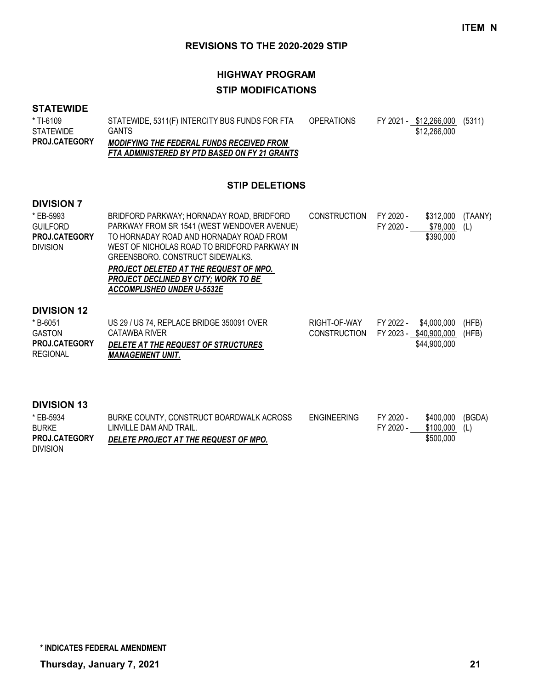# **HIGHWAY PROGRAM STIP MODIFICATIONS**

#### **STATEWIDE**

| * TI-6109            | STATEWIDE, 5311(F) INTERCITY BUS FUNDS FOR FTA   | <b>OPERATIONS</b> | FY 2021 - \$12,266,000 (5311) |  |
|----------------------|--------------------------------------------------|-------------------|-------------------------------|--|
| <b>STATEWIDE</b>     | GANTS.                                           |                   | \$12,266,000                  |  |
| <b>PROJ.CATEGORY</b> | <b>MODIFYING THE FEDERAL FUNDS RECEIVED FROM</b> |                   |                               |  |
|                      | FTA ADMINISTERED BY PTD BASED ON FY 21 GRANTS    |                   |                               |  |

**STIP DELETIONS**

#### **DIVISION 7**

| * EB-5993<br><b>GUILFORD</b><br>PROJ.CATEGORY<br><b>DIVISION</b>                           | BRIDFORD PARKWAY; HORNADAY ROAD, BRIDFORD<br>PARKWAY FROM SR 1541 (WEST WENDOVER AVENUE)<br>TO HORNADAY ROAD AND HORNADAY ROAD FROM<br>WEST OF NICHOLAS ROAD TO BRIDFORD PARKWAY IN<br>GREENSBORO, CONSTRUCT SIDEWALKS.<br>PROJECT DELETED AT THE REQUEST OF MPO.<br>PROJECT DECLINED BY CITY; WORK TO BE<br>ACCOMPLISHED UNDER U-5532E | <b>CONSTRUCTION</b>                 | FY 2020 -<br>\$312,000<br>FY 2020 -<br>\$78,000<br>\$390,000       | (TAANY)<br>(L) |
|--------------------------------------------------------------------------------------------|-----------------------------------------------------------------------------------------------------------------------------------------------------------------------------------------------------------------------------------------------------------------------------------------------------------------------------------------|-------------------------------------|--------------------------------------------------------------------|----------------|
| <b>DIVISION 12</b><br>* B-6051<br><b>GASTON</b><br><b>PROJ.CATEGORY</b><br><b>REGIONAL</b> | US 29 / US 74, REPLACE BRIDGE 350091 OVER<br>CATAWBA RIVER<br>DELETE AT THE REQUEST OF STRUCTURES<br>MANAGEMENT UNIT.                                                                                                                                                                                                                   | RIGHT-OF-WAY<br><b>CONSTRUCTION</b> | FY 2022 -<br>\$4,000,000<br>FY 2023 - \$40,900,000<br>\$44,900,000 | (HFB)<br>(HFB) |
| <b>DIVISION 13</b><br>* EB-5934<br><b>BURKE</b>                                            | BURKE COUNTY, CONSTRUCT BOARDWALK ACROSS<br>LINVILLE DAM AND TRAIL.                                                                                                                                                                                                                                                                     | <b>ENGINEERING</b>                  | FY 2020 -<br>\$400,000<br>FY 2020 -<br>\$100,000                   | (BGDA)<br>(L)  |

| <b>BURKE</b>         | LINVILLE DAM AND TRAIL.               | FY 2020 - | \$100,000 |
|----------------------|---------------------------------------|-----------|-----------|
| <b>PROJ.CATEGORY</b> | DELETE PROJECT AT THE REQUEST OF MPO. |           | \$500,000 |
| <b>DIVISION</b>      |                                       |           |           |